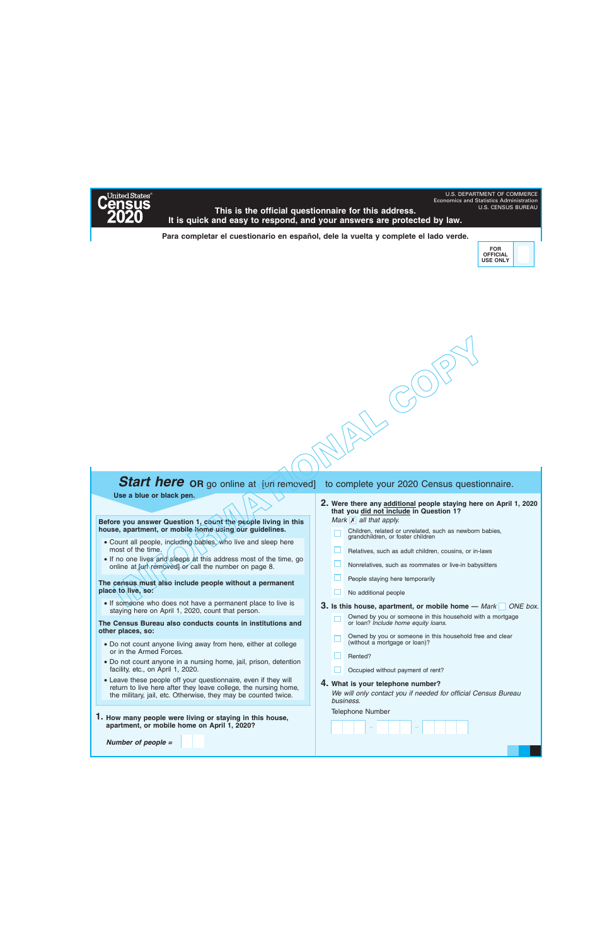

Economics and Statistics Administration<br>U.S. CENSUS BUREAU This is the official questionnaire for this address. **It is quick and easy to respond, and your answers are protected by law.** 

**Para completar el cuestionario en español, dele la vuelta y complete el lado verde.** 



U.S. DEPARTMENT OF COMMERCE

# **MACOPS**

## **Start here OR** go online at [url removed] to complete your 2020 Census questionnaire.

**Use a blue or black pen.** 

**Before you answer Question 1, count the people living in this house, apartment, or mobile home using our guidelines.** 

- Count all people, including babies, who live and sleep here most of the time.
- Figure 1.5 Count all people, including babies.<br>• Count all people, including babies.<br>• If no one lives and sleeps at this at online at [url removed] or call the n<br>**he census must also include people ace to live, so:**<br>• If • If no one lives and sleeps at this address most of the time, go online at Jurl removed] or call the number on page 8.

**The census must also include people without a permanent place to live, so:** 

• If someone who does not have a permanent place to live is staying here on April 1, 2020, count that person.

**The Census Bureau also conducts counts in institutions and other places, so:** 

- Do not count anyone living away from here, either at college or in the Armed Forces.
- Do not count anyone in a nursing home, jail, prison, detention facility, etc., on April 1, 2020.
- Leave these people off your questionnaire, even if they will return to live here after they leave college, the nursing home, the military, jail, etc. Otherwise, they may be counted twice.
- **1. How many people were living or staying in this house, apartment, or mobile home on April 1, 2020?**

*Number of people =*

- **2. Were there any additional people staying here on April 1, 2020 that you did not include in Question 1?** *Mark* **X** all that apply.
	- Children, related or unrelated, such as newborn babies, grandchildren, or foster children
	- Relatives, such as adult children, cousins, or in-laws
	- Nonrelatives, such as roommates or live-in babysitters
	- People staying here temporarily
	- п. No additional people

**3.** Is this house, apartment, or mobile home — Mark ONE box.

- Owned by you or someone in this household with a mortgage or loan? *Include home equity loans.*
- Owned by you or someone in this household free and clear (without a mortgage or loan)?
- □. Rented?
- Occupied without payment of rent?

– –

**4. What is your telephone number?**

*We will only contact you if needed for official Census Bureau business.*

Telephone Number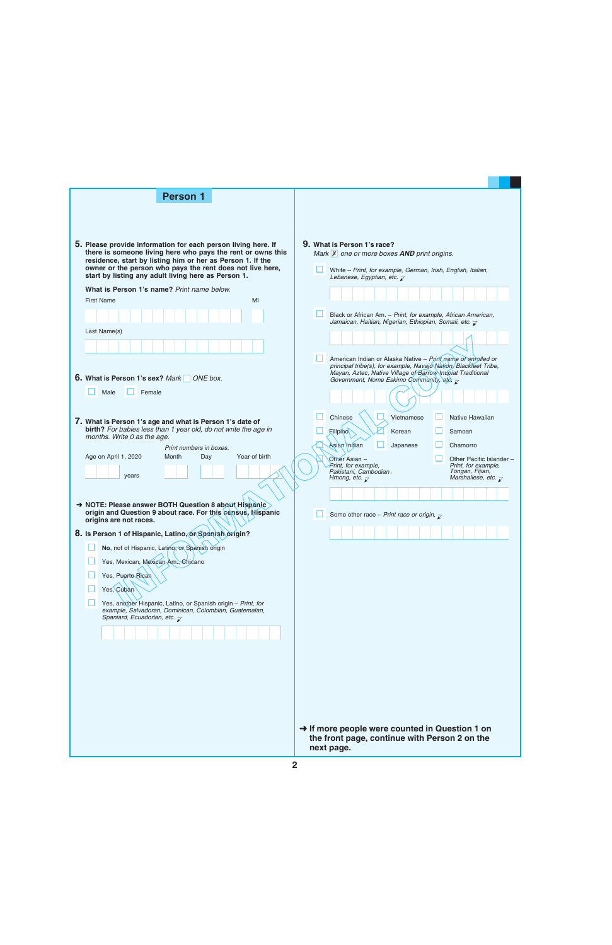| <b>Person 1</b>                                                                                                              |                                                                                                                                  |  |
|------------------------------------------------------------------------------------------------------------------------------|----------------------------------------------------------------------------------------------------------------------------------|--|
|                                                                                                                              |                                                                                                                                  |  |
|                                                                                                                              |                                                                                                                                  |  |
|                                                                                                                              | 9. What is Person 1's race?                                                                                                      |  |
| 5. Please provide information for each person living here. If<br>there is someone living here who pays the rent or owns this | Mark $X$ one or more boxes <b>AND</b> print origins.                                                                             |  |
| residence, start by listing him or her as Person 1. If the<br>owner or the person who pays the rent does not live here,      | White - Print, for example, German, Irish, English, Italian,                                                                     |  |
| start by listing any adult living here as Person 1.                                                                          | Lebanese, Egyptian, etc. $\overline{\mathcal{L}}$                                                                                |  |
| What is Person 1's name? Print name below.<br><b>First Name</b><br>MI                                                        |                                                                                                                                  |  |
|                                                                                                                              | Black or African Am. - Print, for example, African American,                                                                     |  |
|                                                                                                                              | Jamaican, Haitian, Nigerian, Ethiopian, Somali, etc. $\bar{\mathcal{L}}$                                                         |  |
| Last Name(s)                                                                                                                 |                                                                                                                                  |  |
|                                                                                                                              |                                                                                                                                  |  |
|                                                                                                                              | American Indian or Alaska Native - Print name of enrolled or<br>principal tribe(s), for example, Navajo Nation, Blackfeet Tribe, |  |
| 6. What is Person 1's sex? Mark<br>ONE box.                                                                                  | Mayan, Aztec, Native Village of Barrow Inupiat Traditional<br>Government, Nome Eskimo Community, etc. $\overline{\mathbf{x}}$    |  |
| Male<br>Female                                                                                                               |                                                                                                                                  |  |
|                                                                                                                              |                                                                                                                                  |  |
| 7. What is Person 1's age and what is Person 1's date of                                                                     | Vietnamese<br>Chinese<br>Native Hawaiian                                                                                         |  |
| birth? For babies less than 1 year old, do not write the age in<br>months. Write 0 as the age.                               | <b>Filipino</b><br>Korean<br>Samoan                                                                                              |  |
| Print numbers in boxes.                                                                                                      | Japanese<br>Asian Indian<br>Chamorro                                                                                             |  |
| Age on April 1, 2020<br>Year of birth<br>Month<br>Day                                                                        | Other Asian -<br>Other Pacific Islander -<br>Print, for example,<br>Print, for example,                                          |  |
| years                                                                                                                        | Pakistani, Cambodian,<br>Tongan, Fijian,<br>Marshallese, etc. $\overline{\chi}$<br>Hmong, etc. $\overline{\mathbf{x}}$           |  |
|                                                                                                                              |                                                                                                                                  |  |
| → NOTE: Please answer BOTH Question 8 about Hispanic<br>origin and Question 9 about race. For this census, Hispanic          |                                                                                                                                  |  |
| origins are not races.                                                                                                       | Some other race - Print race or origin. $\overline{\chi}$                                                                        |  |
| 8. Is Person 1 of Hispanic, Latino, or Spanish origin?                                                                       |                                                                                                                                  |  |
| No, not of Hispanic, Latino, or Spanish origin                                                                               |                                                                                                                                  |  |
| Yes, Mexican, Mexican Am., Chicano                                                                                           |                                                                                                                                  |  |
| Yes, Puerto Rican                                                                                                            |                                                                                                                                  |  |
| Yes, Cuban                                                                                                                   |                                                                                                                                  |  |
| Yes, another Hispanic, Latino, or Spanish origin - Print, for<br>example, Salvadoran, Dominican, Colombian, Guatemalan,      |                                                                                                                                  |  |
| Spaniard, Ecuadorian, etc. $\overline{\mathcal{L}}$                                                                          |                                                                                                                                  |  |
|                                                                                                                              |                                                                                                                                  |  |
|                                                                                                                              |                                                                                                                                  |  |
|                                                                                                                              |                                                                                                                                  |  |
|                                                                                                                              |                                                                                                                                  |  |
|                                                                                                                              |                                                                                                                                  |  |
|                                                                                                                              |                                                                                                                                  |  |
|                                                                                                                              |                                                                                                                                  |  |
|                                                                                                                              | → If more people were counted in Question 1 on<br>the front page, continue with Person 2 on the                                  |  |
|                                                                                                                              | next page.                                                                                                                       |  |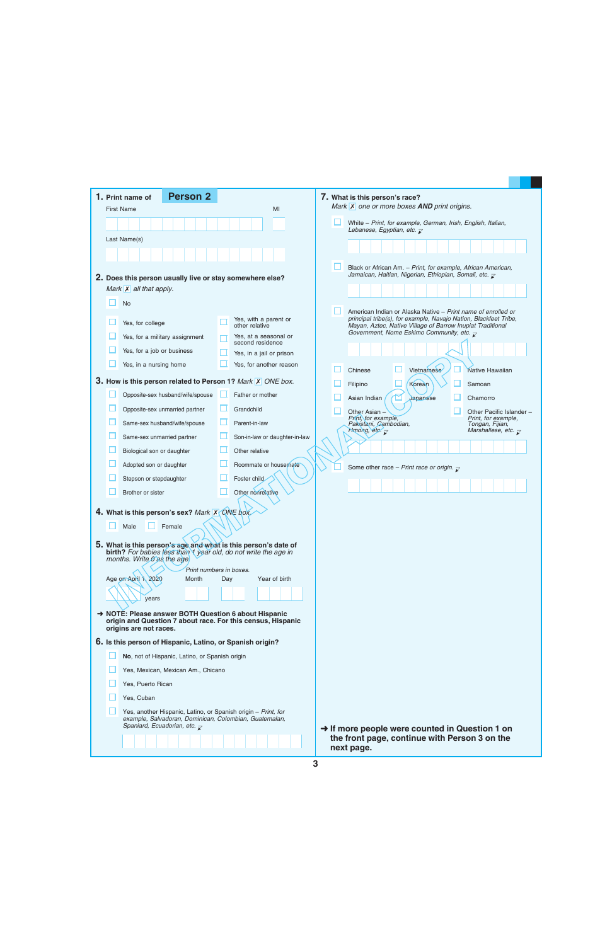| <b>Person 2</b><br>1. Print name of                                                                                               |                                              | 7. What is this person's race?                                                                                                                                                                 |
|-----------------------------------------------------------------------------------------------------------------------------------|----------------------------------------------|------------------------------------------------------------------------------------------------------------------------------------------------------------------------------------------------|
| <b>First Name</b>                                                                                                                 | MI                                           | Mark $\overline{X}$ one or more boxes <b>AND</b> print origins.                                                                                                                                |
|                                                                                                                                   |                                              | White - Print, for example, German, Irish, English, Italian,<br>Lebanese, Egyptian, etc. $\overline{\mathcal{L}}$                                                                              |
| Last Name(s)                                                                                                                      |                                              |                                                                                                                                                                                                |
|                                                                                                                                   |                                              |                                                                                                                                                                                                |
|                                                                                                                                   |                                              | Black or African Am. - Print, for example, African American,                                                                                                                                   |
| 2. Does this person usually live or stay somewhere else?                                                                          |                                              | Jamaican, Haitian, Nigerian, Ethiopian, Somali, etc. $\bar{\mathcal{L}}$                                                                                                                       |
| Mark $\overline{X}$ all that apply.                                                                                               |                                              |                                                                                                                                                                                                |
| <b>No</b>                                                                                                                         |                                              |                                                                                                                                                                                                |
| Yes, for college                                                                                                                  | Yes, with a parent or<br>other relative      | American Indian or Alaska Native – Print name of enrolled or<br>principal tribe(s), for example, Navajo Nation, Blackfeet Tribe,<br>Mayan, Aztec, Native Village of Barrow Inupiat Traditional |
| Yes, for a military assignment                                                                                                    | Yes, at a seasonal or                        | Government, Nome Eskimo Community, etc. $\overline{\mathcal{L}}$                                                                                                                               |
| Yes, for a job or business                                                                                                        | second residence<br>Yes, in a jail or prison |                                                                                                                                                                                                |
| Yes, in a nursing home                                                                                                            | Yes, for another reason                      |                                                                                                                                                                                                |
|                                                                                                                                   |                                              | Vietnamese<br>Chinese<br>Native Hawaiian                                                                                                                                                       |
| <b>3.</b> How is this person related to Person 1? Mark X ONE box.                                                                 |                                              | Korean<br>Filipino<br>Samoan                                                                                                                                                                   |
| Opposite-sex husband/wife/spouse                                                                                                  | Father or mother                             | Japanese<br>Asian Indian<br>Chamorro                                                                                                                                                           |
| Opposite-sex unmarried partner                                                                                                    | ப<br>Grandchild                              | Other Asian<br>Other Pacific Islander -                                                                                                                                                        |
| Same-sex husband/wife/spouse                                                                                                      | Parent-in-law                                | Print, for example,<br>Print, for example,<br>Pakistani, Cambodian,<br>Tongan, Fijian,                                                                                                         |
| Same-sex unmarried partner                                                                                                        | Son-in-law or daughter-in-law                | Hmong, etc. $\overline{\mathcal{K}}$<br>Marshallese, etc. $\overline{\mathcal{L}}$                                                                                                             |
| Biological son or daughter                                                                                                        | Other relative                               |                                                                                                                                                                                                |
| Adopted son or daughter                                                                                                           | Roommate or housemate                        | Some other race - Print race or origin. $\sqrt{\ }$                                                                                                                                            |
| Stepson or stepdaughter                                                                                                           | Foster child                                 |                                                                                                                                                                                                |
| Brother or sister                                                                                                                 | Other nonrelative                            |                                                                                                                                                                                                |
| 4. What is this person's sex? Mark X QNE box                                                                                      |                                              |                                                                                                                                                                                                |
| Male<br>Female                                                                                                                    |                                              |                                                                                                                                                                                                |
|                                                                                                                                   |                                              |                                                                                                                                                                                                |
| 5. What is this person's age and what is this person's date of<br>birth? For babies less than 1 year old, do not write the age in |                                              |                                                                                                                                                                                                |
| months. Write g as the age                                                                                                        |                                              |                                                                                                                                                                                                |
|                                                                                                                                   | Print numbers in boxes.                      |                                                                                                                                                                                                |
| Age on April 1, 2020<br>Month                                                                                                     | Year of birth<br>Day                         |                                                                                                                                                                                                |
| vears                                                                                                                             |                                              |                                                                                                                                                                                                |
| → NOTE: Please answer BOTH Question 6 about Hispanic                                                                              |                                              |                                                                                                                                                                                                |
| origin and Question 7 about race. For this census, Hispanic<br>origins are not races.                                             |                                              |                                                                                                                                                                                                |
| 6. Is this person of Hispanic, Latino, or Spanish origin?                                                                         |                                              |                                                                                                                                                                                                |
| No, not of Hispanic, Latino, or Spanish origin                                                                                    |                                              |                                                                                                                                                                                                |
|                                                                                                                                   |                                              |                                                                                                                                                                                                |
| Yes, Mexican, Mexican Am., Chicano<br>Yes, Puerto Rican                                                                           |                                              |                                                                                                                                                                                                |
| Yes, Cuban                                                                                                                        |                                              |                                                                                                                                                                                                |
| Yes, another Hispanic, Latino, or Spanish origin - Print, for                                                                     |                                              |                                                                                                                                                                                                |
| example, Salvadoran, Dominican, Colombian, Guatemalan,<br>Spaniard, Ecuadorian, etc. $\overline{\mathcal{L}}$                     |                                              | $\rightarrow$ If more people were counted in Question 1 on                                                                                                                                     |
|                                                                                                                                   |                                              | the front page, continue with Person 3 on the<br>next page.                                                                                                                                    |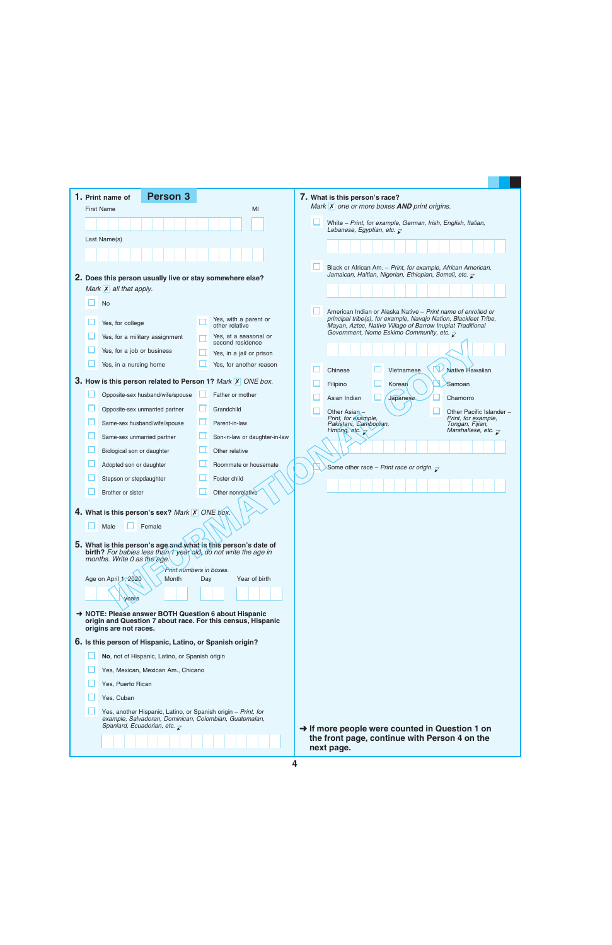|                                                     | <b>Person 3</b><br>1. Print name of                                                                                                                              |     |                                           |  | 7. What is this person's race?                                                                                                                                                                     |
|-----------------------------------------------------|------------------------------------------------------------------------------------------------------------------------------------------------------------------|-----|-------------------------------------------|--|----------------------------------------------------------------------------------------------------------------------------------------------------------------------------------------------------|
|                                                     | <b>First Name</b>                                                                                                                                                |     | MI                                        |  | Mark $\overline{X}$ one or more boxes <b>AND</b> print origins.                                                                                                                                    |
|                                                     |                                                                                                                                                                  |     |                                           |  | White - Print, for example, German, Irish, English, Italian,<br>Lebanese, Egyptian, etc. $\overline{\mathcal{L}}$                                                                                  |
|                                                     | Last Name(s)                                                                                                                                                     |     |                                           |  |                                                                                                                                                                                                    |
|                                                     |                                                                                                                                                                  |     |                                           |  |                                                                                                                                                                                                    |
|                                                     |                                                                                                                                                                  |     |                                           |  | Black or African Am. - Print, for example, African American,<br>Jamaican, Haitian, Nigerian, Ethiopian, Somali, etc. $\bar{\mathcal{L}}$                                                           |
|                                                     | 2. Does this person usually live or stay somewhere else?                                                                                                         |     |                                           |  |                                                                                                                                                                                                    |
|                                                     | Mark $\overline{X}$ all that apply.                                                                                                                              |     |                                           |  |                                                                                                                                                                                                    |
|                                                     | <b>No</b>                                                                                                                                                        |     |                                           |  | American Indian or Alaska Native – Print name of enrolled or                                                                                                                                       |
|                                                     | Yes, for college                                                                                                                                                 |     | Yes, with a parent or<br>other relative   |  | principal tribe(s), for example, Navajo Nation, Blackfeet Tribe,<br>Mayan, Aztec, Native Village of Barrow Inupiat Traditional<br>Government, Nome Eskimo Community, etc. $\overline{\mathcal{L}}$ |
|                                                     | Yes, for a military assignment                                                                                                                                   |     | Yes, at a seasonal or<br>second residence |  |                                                                                                                                                                                                    |
|                                                     | Yes, for a job or business                                                                                                                                       |     | Yes, in a jail or prison                  |  |                                                                                                                                                                                                    |
|                                                     | Yes, in a nursing home                                                                                                                                           |     | Yes, for another reason                   |  | ∀∑<br>Mative Hawaiian<br>Chinese<br>Vietnamese                                                                                                                                                     |
|                                                     | 3. How is this person related to Person 1? Mark X ONE box.                                                                                                       |     |                                           |  | Samoan<br>Korear<br>Filipino                                                                                                                                                                       |
|                                                     | Opposite-sex husband/wife/spouse                                                                                                                                 |     | Father or mother                          |  | Japanese<br>Asian Indian<br>Chamorro                                                                                                                                                               |
|                                                     | Opposite-sex unmarried partner                                                                                                                                   |     | Grandchild                                |  | Other Asian -<br>Other Pacific Islander -                                                                                                                                                          |
|                                                     | Same-sex husband/wife/spouse                                                                                                                                     |     | Parent-in-law                             |  | Print, for example,<br>Print, for example,<br>Pakistani, Cambodian,<br>Tongan, Fijian,                                                                                                             |
|                                                     | Same-sex unmarried partner                                                                                                                                       |     | Son-in-law or daughter-in-law             |  | Hmong, etc. $\sqrt{ }$<br>Marshallese, etc. $\overline{\mathcal{L}}$                                                                                                                               |
|                                                     | Biological son or daughter                                                                                                                                       |     | Other relative                            |  |                                                                                                                                                                                                    |
|                                                     | Adopted son or daughter                                                                                                                                          |     | Roommate or housemate                     |  | Some other race - Print race or origin. $\bar{\chi}$                                                                                                                                               |
|                                                     | Stepson or stepdaughter                                                                                                                                          |     | Foster child                              |  |                                                                                                                                                                                                    |
|                                                     | Brother or sister                                                                                                                                                |     | Other nonrelative                         |  |                                                                                                                                                                                                    |
|                                                     | 4. What is this person's sex? Mark X ONE box.                                                                                                                    |     |                                           |  |                                                                                                                                                                                                    |
|                                                     | $\Box$ Male $\Box$ Female                                                                                                                                        |     |                                           |  |                                                                                                                                                                                                    |
|                                                     |                                                                                                                                                                  |     |                                           |  |                                                                                                                                                                                                    |
|                                                     | 5. What is this person's age and what is this person's date of<br>birth? For babies less than 1 year old, do not write the age in<br>months. Write 0 as the age. |     |                                           |  |                                                                                                                                                                                                    |
|                                                     | Print-riumbers in boxes.                                                                                                                                         |     |                                           |  |                                                                                                                                                                                                    |
|                                                     | Age on April 1, 2020<br>Month                                                                                                                                    | Day | Year of birth                             |  |                                                                                                                                                                                                    |
|                                                     | years                                                                                                                                                            |     |                                           |  |                                                                                                                                                                                                    |
|                                                     | A NOTE: Please answer BOTH Question 6 about Hispanic<br>origin and Question 7 about race. For this census, Hispanic<br>origins are not races.                    |     |                                           |  |                                                                                                                                                                                                    |
|                                                     | 6. Is this person of Hispanic, Latino, or Spanish origin?                                                                                                        |     |                                           |  |                                                                                                                                                                                                    |
|                                                     | No, not of Hispanic, Latino, or Spanish origin                                                                                                                   |     |                                           |  |                                                                                                                                                                                                    |
| Yes, Mexican, Mexican Am., Chicano                  |                                                                                                                                                                  |     |                                           |  |                                                                                                                                                                                                    |
|                                                     | Yes, Puerto Rican                                                                                                                                                |     |                                           |  |                                                                                                                                                                                                    |
|                                                     | Yes, Cuban                                                                                                                                                       |     |                                           |  |                                                                                                                                                                                                    |
|                                                     | Yes, another Hispanic, Latino, or Spanish origin - Print, for<br>example, Salvadoran, Dominican, Colombian, Guatemalan,                                          |     |                                           |  |                                                                                                                                                                                                    |
| Spaniard, Ecuadorian, etc. $\overline{\mathcal{L}}$ |                                                                                                                                                                  |     |                                           |  | $\rightarrow$ If more people were counted in Question 1 on<br>the front page, continue with Person 4 on the<br>next page.                                                                          |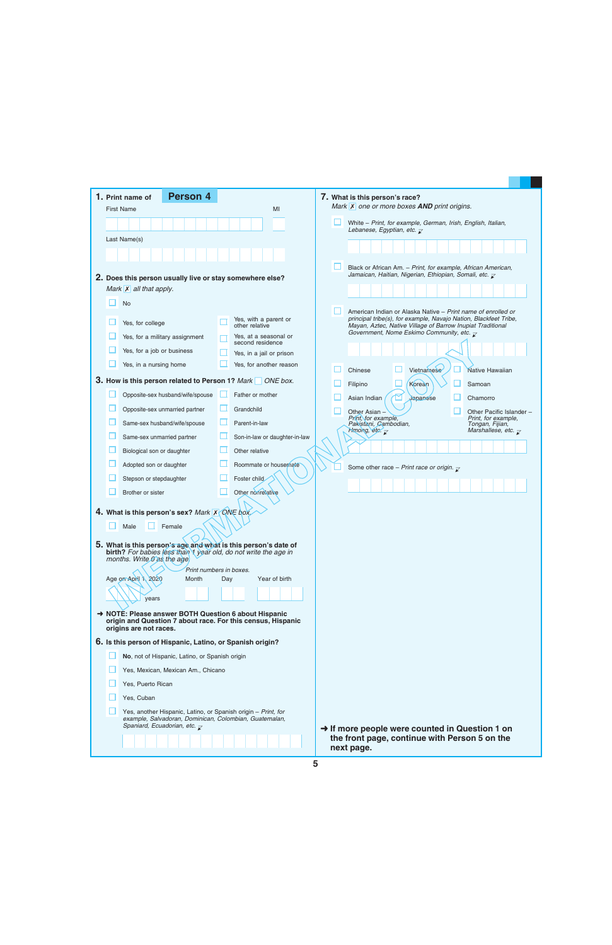| <b>Person 4</b><br>1. Print name of                                                                                                                                            |                                           | 7. What is this person's race?                                                                                                                                                                 |
|--------------------------------------------------------------------------------------------------------------------------------------------------------------------------------|-------------------------------------------|------------------------------------------------------------------------------------------------------------------------------------------------------------------------------------------------|
| <b>First Name</b>                                                                                                                                                              | MI                                        | Mark $\overline{X}$ one or more boxes <b>AND</b> print origins.                                                                                                                                |
|                                                                                                                                                                                |                                           | White - Print, for example, German, Irish, English, Italian,<br>Lebanese, Egyptian, etc. $\overline{\mathcal{L}}$                                                                              |
| Last Name(s)                                                                                                                                                                   |                                           |                                                                                                                                                                                                |
|                                                                                                                                                                                |                                           |                                                                                                                                                                                                |
|                                                                                                                                                                                |                                           | Black or African Am. - Print, for example, African American,<br>Jamaican, Haitian, Nigerian, Ethiopian, Somali, etc. $\bar{\mathcal{L}}$                                                       |
| 2. Does this person usually live or stay somewhere else?                                                                                                                       |                                           |                                                                                                                                                                                                |
| Mark $\overline{X}$ all that apply.                                                                                                                                            |                                           |                                                                                                                                                                                                |
| <b>No</b>                                                                                                                                                                      |                                           |                                                                                                                                                                                                |
| Yes, for college                                                                                                                                                               | Yes, with a parent or<br>other relative   | American Indian or Alaska Native – Print name of enrolled or<br>principal tribe(s), for example, Navajo Nation, Blackfeet Tribe,<br>Mayan, Aztec, Native Village of Barrow Inupiat Traditional |
| Yes, for a military assignment                                                                                                                                                 | Yes, at a seasonal or<br>second residence | Government, Nome Eskimo Community, etc. $\overline{\mathcal{L}}$                                                                                                                               |
| Yes, for a job or business                                                                                                                                                     | Yes, in a jail or prison                  |                                                                                                                                                                                                |
| Yes, in a nursing home                                                                                                                                                         | Yes, for another reason                   | Native Hawaiian                                                                                                                                                                                |
| <b>3. How is this person related to Person 1?</b> Mark ONE box.                                                                                                                |                                           | Vietnamese<br>Chinese<br>Korean<br>Filipino<br>Samoan                                                                                                                                          |
| Opposite-sex husband/wife/spouse                                                                                                                                               | Father or mother                          | Japanese<br>Asian Indian<br>Chamorro                                                                                                                                                           |
| Opposite-sex unmarried partner                                                                                                                                                 | ப<br>Grandchild                           | Other Asian<br>Other Pacific Islander -                                                                                                                                                        |
| Same-sex husband/wife/spouse                                                                                                                                                   | Parent-in-law                             | Print, for example,<br>Print, for example,<br>Pakistani, Cambodian,<br>Tongan, Fijian,                                                                                                         |
| Same-sex unmarried partner                                                                                                                                                     | Son-in-law or daughter-in-law             | Hmong, etc. $\overline{\mathcal{K}}$<br>Marshallese, etc. $\overline{\mathcal{L}}$                                                                                                             |
| Biological son or daughter                                                                                                                                                     | Other relative                            |                                                                                                                                                                                                |
| Adopted son or daughter                                                                                                                                                        | Roommate or housemate                     | Some other race - Print race or origin. $\sqrt{\ }$                                                                                                                                            |
| Stepson or stepdaughter                                                                                                                                                        | Foster child                              |                                                                                                                                                                                                |
| Brother or sister                                                                                                                                                              | Other nonrelative                         |                                                                                                                                                                                                |
| 4. What is this person's sex? Mark X QNE box                                                                                                                                   |                                           |                                                                                                                                                                                                |
|                                                                                                                                                                                |                                           |                                                                                                                                                                                                |
| Male<br>Female                                                                                                                                                                 |                                           |                                                                                                                                                                                                |
| 5. What is this person's age and what is this person's date of<br>birth? For babies less than 1 year old, do not write the age in<br>months. Write g as the age                |                                           |                                                                                                                                                                                                |
|                                                                                                                                                                                | Print numbers in boxes.                   |                                                                                                                                                                                                |
| Age on April 1, 2020<br>Month                                                                                                                                                  | Year of birth<br>Day                      |                                                                                                                                                                                                |
| vears                                                                                                                                                                          |                                           |                                                                                                                                                                                                |
| → NOTE: Please answer BOTH Question 6 about Hispanic<br>origin and Question 7 about race. For this census, Hispanic                                                            |                                           |                                                                                                                                                                                                |
| origins are not races.<br>6. Is this person of Hispanic, Latino, or Spanish origin?                                                                                            |                                           |                                                                                                                                                                                                |
| No, not of Hispanic, Latino, or Spanish origin                                                                                                                                 |                                           |                                                                                                                                                                                                |
| Yes, Mexican, Mexican Am., Chicano                                                                                                                                             |                                           |                                                                                                                                                                                                |
| Yes, Puerto Rican                                                                                                                                                              |                                           |                                                                                                                                                                                                |
| Yes, Cuban                                                                                                                                                                     |                                           |                                                                                                                                                                                                |
| Yes, another Hispanic, Latino, or Spanish origin - Print, for<br>example, Salvadoran, Dominican, Colombian, Guatemalan,<br>Spaniard, Ecuadorian, etc. $\overline{\mathcal{L}}$ |                                           |                                                                                                                                                                                                |
|                                                                                                                                                                                |                                           | $\rightarrow$ If more people were counted in Question 1 on<br>the front page, continue with Person 5 on the<br>next page.                                                                      |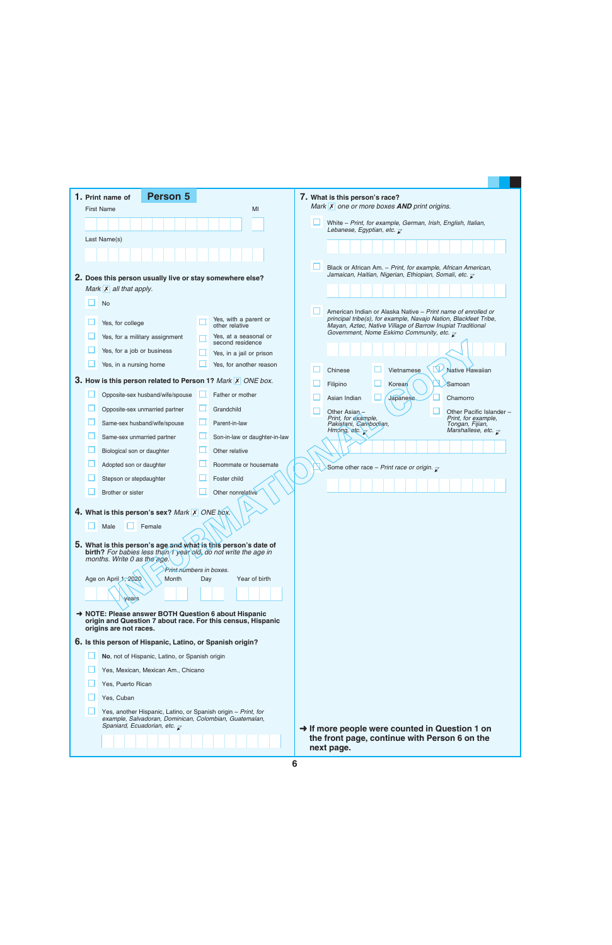|                                                                                                                                                                                | <b>Person 5</b><br>1. Print name of                                                                                              |     |                                              |  | 7. What is this person's race?                                                                                                                                                                 |
|--------------------------------------------------------------------------------------------------------------------------------------------------------------------------------|----------------------------------------------------------------------------------------------------------------------------------|-----|----------------------------------------------|--|------------------------------------------------------------------------------------------------------------------------------------------------------------------------------------------------|
|                                                                                                                                                                                | <b>First Name</b>                                                                                                                |     | MI                                           |  | Mark $\overline{X}$ one or more boxes <b>AND</b> print origins.                                                                                                                                |
|                                                                                                                                                                                |                                                                                                                                  |     |                                              |  | White - Print, for example, German, Irish, English, Italian,<br>Lebanese, Egyptian, etc. $\overline{\mathcal{L}}$                                                                              |
|                                                                                                                                                                                | Last Name(s)                                                                                                                     |     |                                              |  |                                                                                                                                                                                                |
|                                                                                                                                                                                |                                                                                                                                  |     |                                              |  |                                                                                                                                                                                                |
|                                                                                                                                                                                | 2. Does this person usually live or stay somewhere else?                                                                         |     |                                              |  | Black or African Am. - Print, for example, African American,<br>Jamaican, Haitian, Nigerian, Ethiopian, Somali, etc. $\overline{\mathcal{L}}$                                                  |
|                                                                                                                                                                                | Mark $\mathsf{X}$ all that apply.                                                                                                |     |                                              |  |                                                                                                                                                                                                |
|                                                                                                                                                                                | <b>No</b>                                                                                                                        |     |                                              |  |                                                                                                                                                                                                |
|                                                                                                                                                                                | Yes, for college                                                                                                                 |     | Yes, with a parent or<br>other relative      |  | American Indian or Alaska Native - Print name of enrolled or<br>principal tribe(s), for example, Navajo Nation, Blackfeet Tribe,<br>Mayan, Aztec, Native Village of Barrow Inupiat Traditional |
|                                                                                                                                                                                | Yes, for a military assignment                                                                                                   |     | Yes, at a seasonal or                        |  | Government, Nome Eskimo Community, etc. $\overline{\mathcal{L}}$                                                                                                                               |
|                                                                                                                                                                                | Yes, for a job or business                                                                                                       |     | second residence<br>Yes, in a jail or prison |  |                                                                                                                                                                                                |
|                                                                                                                                                                                | Yes, in a nursing home                                                                                                           |     | Yes, for another reason                      |  | 区                                                                                                                                                                                              |
|                                                                                                                                                                                | 3. How is this person related to Person 1? Mark X ONE box.                                                                       |     |                                              |  | Mative Hawaiian<br>Chinese<br>Vietnamese<br>Samoan<br>Korear<br>Filipino                                                                                                                       |
|                                                                                                                                                                                | Opposite-sex husband/wife/spouse                                                                                                 |     | Father or mother                             |  | <b>Japanese</b><br>Asian Indian<br>Chamorro                                                                                                                                                    |
|                                                                                                                                                                                | Opposite-sex unmarried partner                                                                                                   |     | Grandchild                                   |  | Other Asian -<br>Other Pacific Islander -                                                                                                                                                      |
|                                                                                                                                                                                | Same-sex husband/wife/spouse                                                                                                     |     | Parent-in-law                                |  | Print, for example,<br>Print, for example,<br>Pakistani, Cambodian,<br>Tongan, Fijian,                                                                                                         |
|                                                                                                                                                                                | Same-sex unmarried partner                                                                                                       |     | Son-in-law or daughter-in-law                |  | Hmong, etc. $\triangledown$<br>Marshallese, etc. $\overline{\mathcal{L}}$                                                                                                                      |
|                                                                                                                                                                                | Biological son or daughter                                                                                                       |     | Other relative                               |  |                                                                                                                                                                                                |
|                                                                                                                                                                                | Adopted son or daughter                                                                                                          |     | Roommate or housemate                        |  |                                                                                                                                                                                                |
|                                                                                                                                                                                | Stepson or stepdaughter                                                                                                          |     | Foster child                                 |  | Some other race - Print race or origin. $\bar{\chi}$                                                                                                                                           |
|                                                                                                                                                                                | Brother or sister                                                                                                                |     | Other nonrelative                            |  |                                                                                                                                                                                                |
|                                                                                                                                                                                |                                                                                                                                  |     |                                              |  |                                                                                                                                                                                                |
|                                                                                                                                                                                | 4. What is this person's sex? Mark X ONE box.                                                                                    |     |                                              |  |                                                                                                                                                                                                |
|                                                                                                                                                                                | $\Box$ Male $\Box$ Female                                                                                                        |     |                                              |  |                                                                                                                                                                                                |
|                                                                                                                                                                                | 5. What is this person's age and what is this person's date of<br>birth? For babies less than Tyear old, do not write the age in |     |                                              |  |                                                                                                                                                                                                |
|                                                                                                                                                                                | months. Write 0 as the age.                                                                                                      |     |                                              |  |                                                                                                                                                                                                |
|                                                                                                                                                                                | Print-riumbers in boxes.<br>Age on April 1, 2020<br>Month                                                                        | Day | Year of birth                                |  |                                                                                                                                                                                                |
|                                                                                                                                                                                |                                                                                                                                  |     |                                              |  |                                                                                                                                                                                                |
|                                                                                                                                                                                | years                                                                                                                            |     |                                              |  |                                                                                                                                                                                                |
|                                                                                                                                                                                | → NOTE: Please answer BOTH Question 6 about Hispanic<br>origin and Question 7 about race. For this census, Hispanic              |     |                                              |  |                                                                                                                                                                                                |
|                                                                                                                                                                                | origins are not races.                                                                                                           |     |                                              |  |                                                                                                                                                                                                |
|                                                                                                                                                                                | 6. Is this person of Hispanic, Latino, or Spanish origin?                                                                        |     |                                              |  |                                                                                                                                                                                                |
|                                                                                                                                                                                | No, not of Hispanic, Latino, or Spanish origin                                                                                   |     |                                              |  |                                                                                                                                                                                                |
| Yes, Mexican, Mexican Am., Chicano                                                                                                                                             |                                                                                                                                  |     |                                              |  |                                                                                                                                                                                                |
|                                                                                                                                                                                | Yes, Puerto Rican                                                                                                                |     |                                              |  |                                                                                                                                                                                                |
|                                                                                                                                                                                | Yes, Cuban                                                                                                                       |     |                                              |  |                                                                                                                                                                                                |
| Yes, another Hispanic, Latino, or Spanish origin - Print, for<br>example, Salvadoran, Dominican, Colombian, Guatemalan,<br>Spaniard, Ecuadorian, etc. $\overline{\mathcal{L}}$ |                                                                                                                                  |     |                                              |  |                                                                                                                                                                                                |
|                                                                                                                                                                                |                                                                                                                                  |     |                                              |  | $\rightarrow$ If more people were counted in Question 1 on<br>the front page, continue with Person 6 on the<br>next page.                                                                      |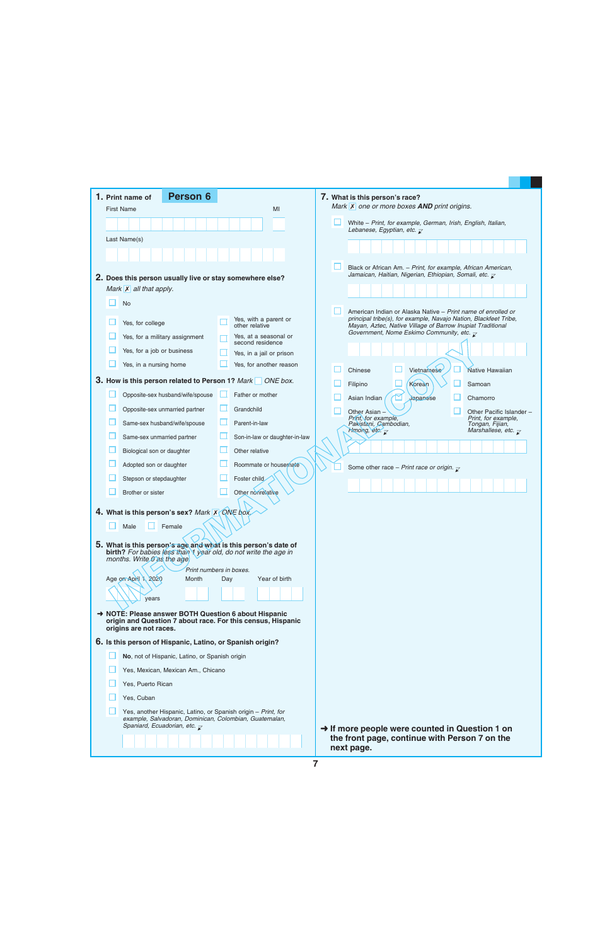| <b>Person 6</b><br>1. Print name of                                                                                               |                                                 | 7. What is this person's race?                                                                                                                                                                 |
|-----------------------------------------------------------------------------------------------------------------------------------|-------------------------------------------------|------------------------------------------------------------------------------------------------------------------------------------------------------------------------------------------------|
| <b>First Name</b>                                                                                                                 | MI                                              | Mark $\vert x \vert$ one or more boxes <b>AND</b> print origins.                                                                                                                               |
|                                                                                                                                   |                                                 | White - Print, for example, German, Irish, English, Italian,<br>Lebanese, Egyptian, etc. $\overline{\mathcal{L}}$                                                                              |
| Last Name(s)                                                                                                                      |                                                 |                                                                                                                                                                                                |
|                                                                                                                                   |                                                 |                                                                                                                                                                                                |
|                                                                                                                                   |                                                 | Black or African Am. - Print, for example, African American,                                                                                                                                   |
| 2. Does this person usually live or stay somewhere else?                                                                          |                                                 | Jamaican, Haitian, Nigerian, Ethiopian, Somali, etc. $\overline{\mathcal{L}}$                                                                                                                  |
| Mark $\overline{X}$ all that apply.                                                                                               |                                                 |                                                                                                                                                                                                |
| <b>No</b>                                                                                                                         |                                                 |                                                                                                                                                                                                |
| Yes, for college                                                                                                                  | Yes, with a parent or<br>other relative         | American Indian or Alaska Native – Print name of enrolled or<br>principal tribe(s), for example, Navajo Nation, Blackfeet Tribe,<br>Mayan, Aztec, Native Village of Barrow Inupiat Traditional |
| Yes, for a military assignment                                                                                                    | Yes, at a seasonal or                           | Government, Nome Eskimo Community, etc. $\overline{\mathcal{L}}$                                                                                                                               |
| Yes, for a job or business                                                                                                        | second residence<br>Yes, in a jail or prison    |                                                                                                                                                                                                |
| Yes, in a nursing home                                                                                                            | Yes, for another reason                         |                                                                                                                                                                                                |
|                                                                                                                                   |                                                 | Vietnamese<br>Chinese<br>Native Hawaiian                                                                                                                                                       |
| 3. How is this person related to Person 1? Mark ONE box.                                                                          |                                                 | Korean<br>Filipino<br>Samoan                                                                                                                                                                   |
| Opposite-sex husband/wife/spouse                                                                                                  | Father or mother                                | Japanese<br>Asian Indian<br>Chamorro                                                                                                                                                           |
| Opposite-sex unmarried partner                                                                                                    | ப<br>Grandchild                                 | Other Asian<br>Other Pacific Islander -                                                                                                                                                        |
| Same-sex husband/wife/spouse                                                                                                      | Parent-in-law                                   | Print, for example,<br>Print, for example,<br>Pakistani, Cambodian,<br>Tongan, Fijian,                                                                                                         |
| Same-sex unmarried partner                                                                                                        | Son-in-law or daughter-in-law                   | Hmong, etc. $\overline{\mathcal{K}}$<br>Marshallese, etc. $\overline{\mathcal{L}}$                                                                                                             |
| Biological son or daughter                                                                                                        | Other relative                                  |                                                                                                                                                                                                |
| Adopted son or daughter                                                                                                           | Roommate or housemate                           | Some other race - Print race or origin. $\bar{x}$                                                                                                                                              |
| Stepson or stepdaughter                                                                                                           | Foster child                                    |                                                                                                                                                                                                |
| Brother or sister                                                                                                                 | Other nonrelative                               |                                                                                                                                                                                                |
| 4. What is this person's sex? Mark X QNE box                                                                                      |                                                 |                                                                                                                                                                                                |
| Male<br>Female                                                                                                                    |                                                 |                                                                                                                                                                                                |
|                                                                                                                                   |                                                 |                                                                                                                                                                                                |
| 5. What is this person's age and what is this person's date of<br>birth? For babies less than 1 year old, do not write the age in |                                                 |                                                                                                                                                                                                |
| months. Write Gas the age                                                                                                         |                                                 |                                                                                                                                                                                                |
| Age on April 1, 2020<br>Month                                                                                                     | Print numbers in boxes.<br>Year of birth<br>Day |                                                                                                                                                                                                |
|                                                                                                                                   |                                                 |                                                                                                                                                                                                |
| vears                                                                                                                             |                                                 |                                                                                                                                                                                                |
| → NOTE: Please answer BOTH Question 6 about Hispanic                                                                              |                                                 |                                                                                                                                                                                                |
| origin and Question 7 about race. For this census, Hispanic<br>origins are not races.                                             |                                                 |                                                                                                                                                                                                |
| 6. Is this person of Hispanic, Latino, or Spanish origin?                                                                         |                                                 |                                                                                                                                                                                                |
| No, not of Hispanic, Latino, or Spanish origin                                                                                    |                                                 |                                                                                                                                                                                                |
| Yes, Mexican, Mexican Am., Chicano                                                                                                |                                                 |                                                                                                                                                                                                |
| Yes, Puerto Rican                                                                                                                 |                                                 |                                                                                                                                                                                                |
| Yes, Cuban                                                                                                                        |                                                 |                                                                                                                                                                                                |
| Yes, another Hispanic, Latino, or Spanish origin - Print, for                                                                     |                                                 |                                                                                                                                                                                                |
| example, Salvadoran, Dominican, Colombian, Guatemalan,<br>Spaniard, Ecuadorian, etc. $\overline{\mathcal{L}}$                     |                                                 | $\rightarrow$ If more people were counted in Question 1 on                                                                                                                                     |
|                                                                                                                                   |                                                 | the front page, continue with Person 7 on the<br>next page.                                                                                                                                    |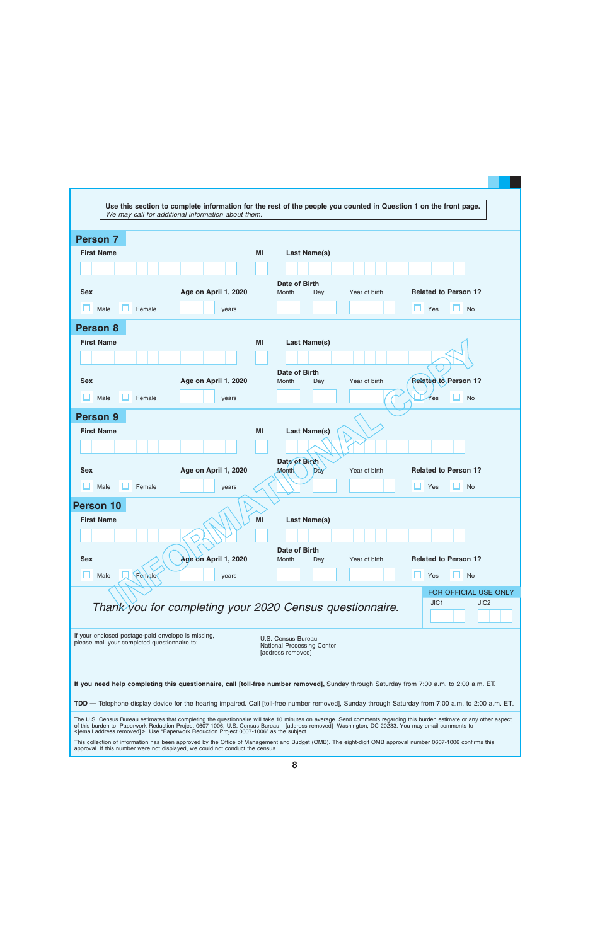| We may call for additional information about them.                                       | Use this section to complete information for the rest of the people you counted in Question 1 on the front page.                                                     |
|------------------------------------------------------------------------------------------|----------------------------------------------------------------------------------------------------------------------------------------------------------------------|
|                                                                                          |                                                                                                                                                                      |
| <b>Person 7</b>                                                                          |                                                                                                                                                                      |
| <b>First Name</b>                                                                        | MI<br><b>Last Name(s)</b>                                                                                                                                            |
|                                                                                          |                                                                                                                                                                      |
|                                                                                          |                                                                                                                                                                      |
| <b>Sex</b><br>Age on April 1, 2020                                                       | <b>Date of Birth</b><br><b>Related to Person 1?</b><br>Year of birth<br>Month<br>Day                                                                                 |
|                                                                                          |                                                                                                                                                                      |
| Male<br>Female<br>years                                                                  | H<br><b>No</b><br>Yes                                                                                                                                                |
| Person 8                                                                                 |                                                                                                                                                                      |
| <b>First Name</b>                                                                        | MI<br><b>Last Name(s)</b>                                                                                                                                            |
|                                                                                          |                                                                                                                                                                      |
|                                                                                          | Date of Birth                                                                                                                                                        |
| <b>Sex</b><br>Age on April 1, 2020                                                       | <b>Related to Person 1?</b><br>Year of birth<br>Month<br>Day                                                                                                         |
| Male<br>Female<br>years                                                                  | <b>No</b><br>Yes                                                                                                                                                     |
|                                                                                          |                                                                                                                                                                      |
| <b>Person 9</b>                                                                          |                                                                                                                                                                      |
| <b>First Name</b>                                                                        | <b>Last Name(s)</b><br><b>MI</b>                                                                                                                                     |
|                                                                                          |                                                                                                                                                                      |
|                                                                                          | Date of Birth                                                                                                                                                        |
| Age on April 1, 2020<br><b>Sex</b>                                                       | <b>Related to Person 1?</b><br>Year of birth<br><b>Month</b><br>Day                                                                                                  |
| Female<br>Male<br>years                                                                  | Yes<br><b>No</b>                                                                                                                                                     |
| <b>Person 10</b>                                                                         |                                                                                                                                                                      |
| <b>First Name</b>                                                                        | MI<br>Last Name(s)                                                                                                                                                   |
|                                                                                          |                                                                                                                                                                      |
|                                                                                          |                                                                                                                                                                      |
| Age on April 1, 2020<br><b>Sex</b>                                                       | Date of Birth<br><b>Related to Person 1?</b><br>Year of birth<br>Month<br>Day                                                                                        |
|                                                                                          |                                                                                                                                                                      |
| Female<br>Male<br>years                                                                  | <b>No</b><br>Yes                                                                                                                                                     |
|                                                                                          | FOR OFFICIAL USE ONLY                                                                                                                                                |
| Thank you for completing your 2020 Census questionnaire.                                 | JIC <sub>1</sub><br>JIC <sub>2</sub>                                                                                                                                 |
|                                                                                          |                                                                                                                                                                      |
| If your enclosed postage-paid envelope is missing,                                       | U.S. Census Bureau                                                                                                                                                   |
| please mail your completed questionnaire to:                                             | <b>National Processing Center</b><br>[address removed]                                                                                                               |
|                                                                                          |                                                                                                                                                                      |
|                                                                                          |                                                                                                                                                                      |
|                                                                                          | If you need help completing this questionnaire, call [toll-free number removed], Sunday through Saturday from 7:00 a.m. to 2:00 a.m. ET.                             |
|                                                                                          | TDD — Telephone display device for the hearing impaired. Call [toll-free number removed], Sunday through Saturday from 7:00 a.m. to 2:00 a.m. ET.                    |
|                                                                                          | The U.S. Census Bureau estimates that completing the questionnaire will take 10 minutes on average. Send comments regarding this burden estimate or any other aspect |
| < [email address removed] >. Use "Paperwork Reduction Project 0607-1006" as the subject. | of this burden to: Paperwork Reduction Project 0607-1006, U.S. Census Bureau [address removed] Washington, DC 20233. You may email comments to                       |
| approval. If this number were not displayed, we could not conduct the census.            | This collection of information has been approved by the Office of Management and Budget (OMB). The eight-digit OMB approval number 0607-1006 confirms this           |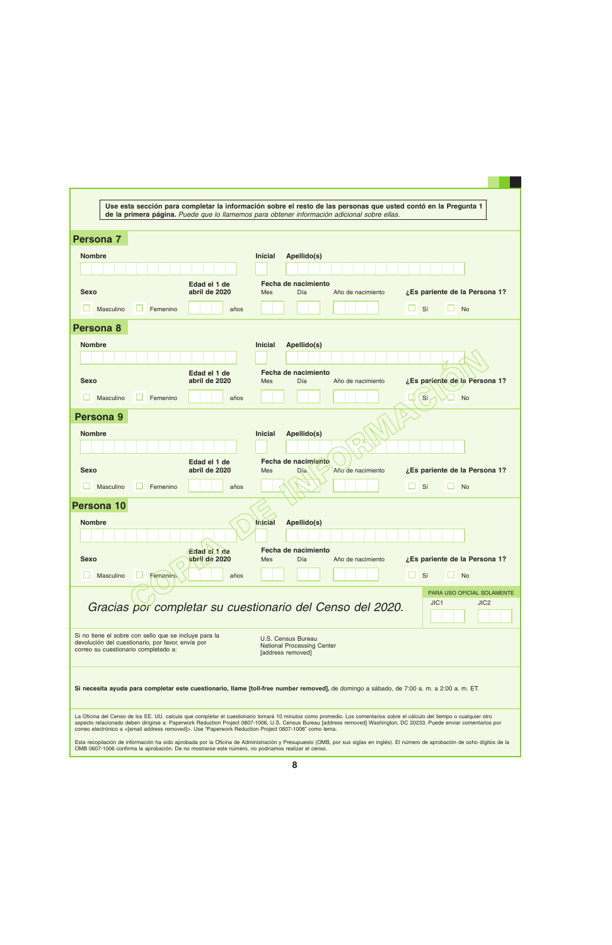| Use esta sección para completar la información sobre el resto de las personas que usted contó en la Pregunta 1 |                                                                                                                                                                                 |  |  |  |  |  |
|----------------------------------------------------------------------------------------------------------------|---------------------------------------------------------------------------------------------------------------------------------------------------------------------------------|--|--|--|--|--|
|                                                                                                                | de la primera página. Puede que lo llamemos para obtener información adicional sobre ellas.                                                                                     |  |  |  |  |  |
| <b>Persona 7</b>                                                                                               |                                                                                                                                                                                 |  |  |  |  |  |
|                                                                                                                |                                                                                                                                                                                 |  |  |  |  |  |
| <b>Nombre</b>                                                                                                  | <b>Inicial</b><br>Apellido(s)                                                                                                                                                   |  |  |  |  |  |
| Edad el 1 de                                                                                                   | Fecha de nacimiento                                                                                                                                                             |  |  |  |  |  |
| abril de 2020<br><b>Sexo</b>                                                                                   | ¿Es pariente de la Persona 1?<br>Día<br>Mes<br>Año de nacimiento                                                                                                                |  |  |  |  |  |
| Masculino<br>Femenino<br>años                                                                                  | <b>No</b><br>Sí                                                                                                                                                                 |  |  |  |  |  |
| Persona 8                                                                                                      |                                                                                                                                                                                 |  |  |  |  |  |
| <b>Nombre</b>                                                                                                  | <b>Inicial</b><br>Apellido(s)                                                                                                                                                   |  |  |  |  |  |
|                                                                                                                |                                                                                                                                                                                 |  |  |  |  |  |
| Edad el 1 de                                                                                                   | Fecha de nacimiento                                                                                                                                                             |  |  |  |  |  |
| abril de 2020<br><b>Sexo</b>                                                                                   | ¿Es pariente de la Persona 1?<br>Día<br>Año de nacimiento<br>Mes                                                                                                                |  |  |  |  |  |
| Masculino<br>Femenino<br>años                                                                                  | Sí<br><b>No</b>                                                                                                                                                                 |  |  |  |  |  |
| Persona 9                                                                                                      |                                                                                                                                                                                 |  |  |  |  |  |
| <b>Nombre</b>                                                                                                  | <b>Inicial</b><br>Apellido(s)                                                                                                                                                   |  |  |  |  |  |
|                                                                                                                |                                                                                                                                                                                 |  |  |  |  |  |
| Edad el 1 de<br>abril de 2020<br><b>Sexo</b>                                                                   | Fecha de nacimiento<br>¿Es pariente de la Persona 1?<br>Día<br><b>Mes</b><br>Año de nacimiento                                                                                  |  |  |  |  |  |
|                                                                                                                |                                                                                                                                                                                 |  |  |  |  |  |
| Masculino<br>Femenino<br>años                                                                                  | <b>No</b><br>Sí                                                                                                                                                                 |  |  |  |  |  |
| Persona 10                                                                                                     |                                                                                                                                                                                 |  |  |  |  |  |
| <b>Nombre</b>                                                                                                  | Apellido(s)<br>Inicial                                                                                                                                                          |  |  |  |  |  |
|                                                                                                                |                                                                                                                                                                                 |  |  |  |  |  |
| Edad et 1 de<br>abril de 2020<br><b>Sexo</b>                                                                   | Fecha de nacimiento<br>¿Es pariente de la Persona 1?<br>Día<br>Mes<br>Año de nacimiento                                                                                         |  |  |  |  |  |
| Masculino<br><b>Femenino</b><br>años                                                                           | Sí<br><b>No</b>                                                                                                                                                                 |  |  |  |  |  |
|                                                                                                                | PARA USO OFICIAL SOLAMENTE                                                                                                                                                      |  |  |  |  |  |
| Gracias por completar su cuestionario del Censo del 2020.                                                      | JIC <sub>1</sub><br>JIC <sub>2</sub>                                                                                                                                            |  |  |  |  |  |
|                                                                                                                |                                                                                                                                                                                 |  |  |  |  |  |
| Si no tiene el sobre con sello que se incluye para la                                                          | U.S. Census Bureau                                                                                                                                                              |  |  |  |  |  |
| devolución del cuestionario, por favor, envíe por<br>correo su cuestionario completado a:                      | National Processing Center<br>[address removed]                                                                                                                                 |  |  |  |  |  |
|                                                                                                                |                                                                                                                                                                                 |  |  |  |  |  |
|                                                                                                                | Si necesita ayuda para completar este cuestionario, llame [toll-free number removed], de domingo a sábado, de 7:00 a.m. a 2:00 a.m. ET.                                         |  |  |  |  |  |
|                                                                                                                |                                                                                                                                                                                 |  |  |  |  |  |
|                                                                                                                | La Oficina del Censo de los EE. UU. calcula que completar el cuestionario tomará 10 minutos como promedio. Los comentarios sobre el cálculo del tiempo o cualquier otro         |  |  |  |  |  |
| correo electrónico a <[email address removed]>. Use "Paperwork Reduction Project 0607-1006" como tema.         | aspecto relacionado deben dirigirse a: Paperwork Reduction Project 0607-1006, U.S. Census Bureau [address removed] Washington, DC 20233. Puede enviar comentarios por           |  |  |  |  |  |
| OMB 0607-1006 confirma la aprobación. De no mostrarse este número, no podríamos realizar el censo.             | Esta recopilación de información ha sido aprobada por la Oficina de Administración y Presupuesto (OMB, por sus siglas en inglés). El número de aprobación de ocho dígitos de la |  |  |  |  |  |
|                                                                                                                |                                                                                                                                                                                 |  |  |  |  |  |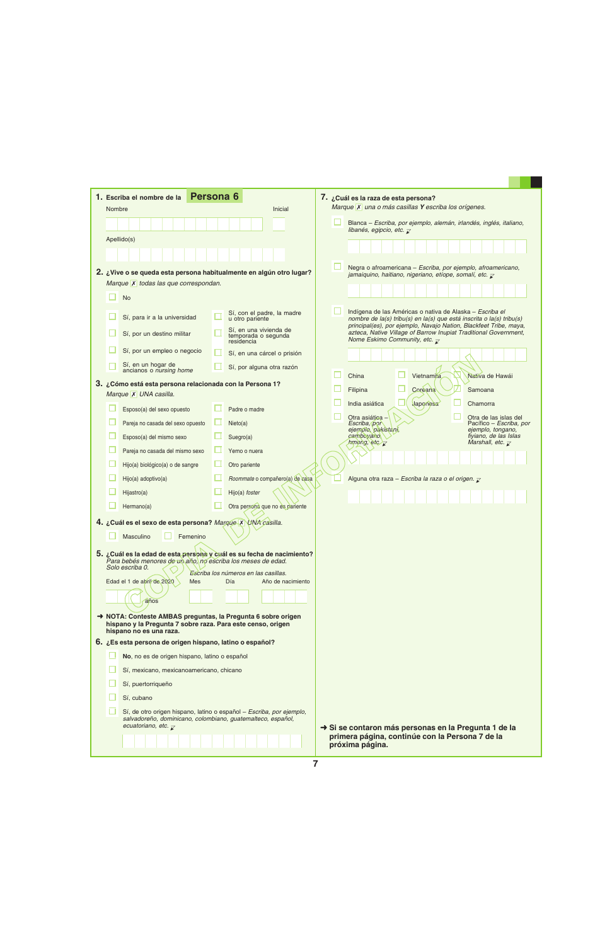| Nombre | 1. Escriba el nombre de la                                                                                | Persona <sub>6</sub><br>Inicial                                       | 7. ¿Cuál es la raza de esta persona?<br>Marque X una o más casillas Y escriba los orígenes.                                                                                                           |
|--------|-----------------------------------------------------------------------------------------------------------|-----------------------------------------------------------------------|-------------------------------------------------------------------------------------------------------------------------------------------------------------------------------------------------------|
|        |                                                                                                           |                                                                       | Blanca - Escriba, por ejemplo, alemán, irlandés, inglés, italiano,                                                                                                                                    |
|        |                                                                                                           |                                                                       | libanés, egipcio, etc. $\overline{\mathcal{L}}$                                                                                                                                                       |
|        | Apellido(s)                                                                                               |                                                                       |                                                                                                                                                                                                       |
|        |                                                                                                           |                                                                       |                                                                                                                                                                                                       |
|        |                                                                                                           | 2. ¿Vive o se queda esta persona habitualmente en algún otro lugar?   | Negra o afroamericana - Escriba, por ejemplo, afroamericano,<br>jamaiquino, haitiano, nigeriano, etíope, somalí, etc. $\bar{z}$                                                                       |
|        | Marque X todas las que correspondan.                                                                      |                                                                       |                                                                                                                                                                                                       |
|        | <b>No</b>                                                                                                 |                                                                       |                                                                                                                                                                                                       |
|        | Sí, para ir a la universidad                                                                              | Sí, con el padre, la madre<br>u otro pariente                         | Indígena de las Américas o nativa de Alaska - Escriba el<br>nombre de la(s) tribu(s) en la(s) que está inscrita o la(s) tribu(s)<br>principal(es), por ejemplo, Navajo Nation, Blackfeet Tribe, maya, |
|        | Sí, por un destino militar                                                                                | Sí, en una vivienda de<br>temporada o segunda<br>residencia           | azteca, Native Village of Barrow Inupiat Traditional Government,<br>Nome Eskimo Community, etc. $\overline{\mathcal{L}}$                                                                              |
|        | Sí, por un empleo o negocio                                                                               | Sí, en una cárcel o prisión                                           |                                                                                                                                                                                                       |
|        | Sí, en un hogar de<br>ancianos o nursing home                                                             | Sí, por alguna otra razón                                             | China<br>Vietnamita<br>Nativa de Hawái                                                                                                                                                                |
|        | 3. ¿Cómo está esta persona relacionada con la Persona 1?                                                  |                                                                       | Coreana<br>Filipina<br>Samoana                                                                                                                                                                        |
|        | Marque X UNA casilla.                                                                                     | Padre o madre                                                         | India asiática<br>Japonesa<br>Chamorra                                                                                                                                                                |
|        | Esposo(a) del sexo opuesto                                                                                |                                                                       | Otra asiática -<br>Otra de las islas del                                                                                                                                                              |
|        | Pareja no casada del sexo opuesto                                                                         | Nieto(a)                                                              | Escriba, por<br>Pacífico – Escriba, por<br>ejempio, pakistani,<br>ejemplo, tongano,<br>fiyiano, de las Islas<br>camboyano,                                                                            |
|        | Esposo(a) del mismo sexo                                                                                  | Suegro(a)                                                             | Marshall, etc. $\overline{\mathcal{K}}$<br>$h$ mong, etc $\overline{\chi}$                                                                                                                            |
|        | Pareja no casada del mismo sexo                                                                           | Yerno o nuera                                                         |                                                                                                                                                                                                       |
|        | Hijo(a) biológico(a) o de sangre                                                                          | Otro pariente                                                         |                                                                                                                                                                                                       |
|        | Hijo(a) adoptivo(a)                                                                                       | Roommate o compañero(a) de casa                                       | Alguna otra raza - Escriba la raza o el origen. $\overline{\mathcal{L}}$                                                                                                                              |
|        | Hijastro(a)                                                                                               | Hijo(a) foster                                                        |                                                                                                                                                                                                       |
|        | Hermano(a)                                                                                                | Otra persona que no es pariente                                       |                                                                                                                                                                                                       |
|        | 4. ¿Cuál es el sexo de esta persona? Marque X UNA casilla.                                                |                                                                       |                                                                                                                                                                                                       |
|        | Masculino<br>Femenino                                                                                     |                                                                       |                                                                                                                                                                                                       |
|        | Para bebés menores de un año, no escriba los meses de edad.                                               | 5. ¿Cuál es la edad de esta persona y cuál es su fecha de nacimiento? |                                                                                                                                                                                                       |
|        | Solo escriba 0.                                                                                           | Escriba los números en las casillas.                                  |                                                                                                                                                                                                       |
|        | Edad el 1 de abril de 2020<br>Mes                                                                         | Día<br>Año de nacimiento                                              |                                                                                                                                                                                                       |
|        | años                                                                                                      |                                                                       |                                                                                                                                                                                                       |
|        |                                                                                                           | A NOTA: Conteste AMBAS preguntas, la Pregunta 6 sobre origen          |                                                                                                                                                                                                       |
|        | hispano y la Pregunta 7 sobre raza. Para este censo, origen<br>hispano no es una raza.                    |                                                                       |                                                                                                                                                                                                       |
|        | 6. ¿Es esta persona de origen hispano, latino o español?                                                  |                                                                       |                                                                                                                                                                                                       |
|        | No, no es de origen hispano, latino o español                                                             |                                                                       |                                                                                                                                                                                                       |
|        | Sí, mexicano, mexicanoamericano, chicano                                                                  |                                                                       |                                                                                                                                                                                                       |
|        | Sí, puertorriqueño                                                                                        |                                                                       |                                                                                                                                                                                                       |
|        | Sí, cubano                                                                                                |                                                                       |                                                                                                                                                                                                       |
|        | salvadoreño, dominicano, colombiano, guatemalteco, español,<br>ecuatoriano, etc. $\overline{\mathcal{L}}$ | Sí, de otro origen hispano, latino o español - Escriba, por ejemplo,  | → Si se contaron más personas en la Pregunta 1 de la                                                                                                                                                  |
|        |                                                                                                           |                                                                       | primera página, continúe con la Persona 7 de la<br>próxima página.                                                                                                                                    |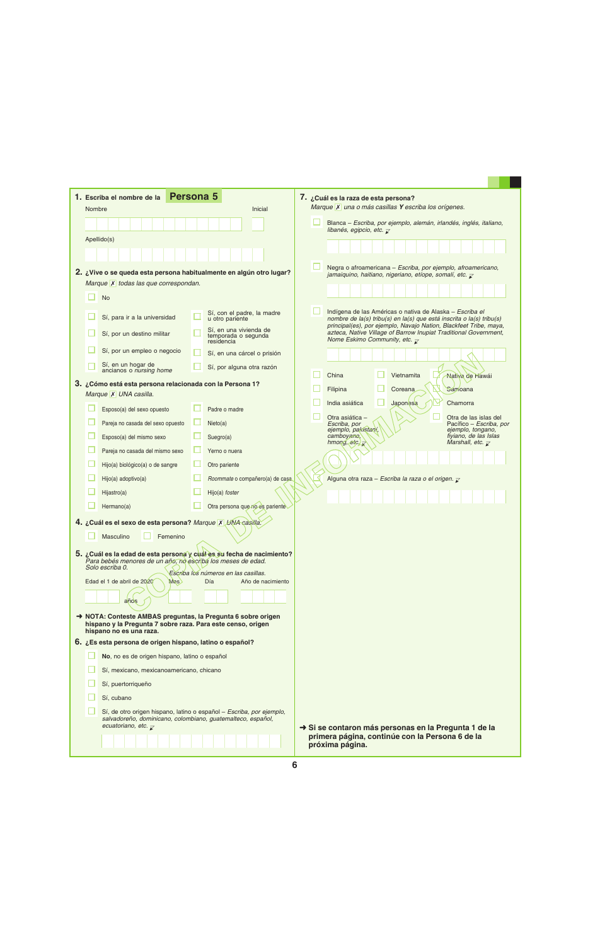|        | <b>Persona 5</b><br>1. Escriba el nombre de la                                                                                                                                    |                                                                  | 7. ¿Cuál es la raza de esta persona?                                                                                                                                                                  |
|--------|-----------------------------------------------------------------------------------------------------------------------------------------------------------------------------------|------------------------------------------------------------------|-------------------------------------------------------------------------------------------------------------------------------------------------------------------------------------------------------|
| Nombre |                                                                                                                                                                                   | Inicial                                                          | Marque X una o más casillas Y escriba los orígenes.                                                                                                                                                   |
|        |                                                                                                                                                                                   |                                                                  | Blanca - Escriba, por ejemplo, alemán, irlandés, inglés, italiano,<br>libanés, egipcio, etc. $\overline{\mathcal{L}}$                                                                                 |
|        | Apellido(s)                                                                                                                                                                       |                                                                  |                                                                                                                                                                                                       |
|        |                                                                                                                                                                                   |                                                                  |                                                                                                                                                                                                       |
|        | 2. ¿Vive o se queda esta persona habitualmente en algún otro lugar?                                                                                                               |                                                                  | Negra o afroamericana - Escriba, por ejemplo, afroamericano,<br>jamaiquino, haitiano, nigeriano, etíope, somalí, etc. $\bar{z}$                                                                       |
|        | Marque X todas las que correspondan.                                                                                                                                              |                                                                  |                                                                                                                                                                                                       |
|        | <b>No</b>                                                                                                                                                                         |                                                                  |                                                                                                                                                                                                       |
|        | Sí, para ir a la universidad                                                                                                                                                      | Sí, con el padre, la madre<br>u otro pariente                    | Indígena de las Américas o nativa de Alaska - Escriba el<br>nombre de la(s) tribu(s) en la(s) que está inscrita o la(s) tribu(s)<br>principal(es), por ejemplo, Navajo Nation, Blackfeet Tribe, maya, |
|        | Sí, por un destino militar                                                                                                                                                        | Sí, en una vivienda de<br>temporada o segunda<br>residencia      | azteca, Native Village of Barrow Inupiat Traditional Government,<br>Nome Eskimo Community, etc. $\overline{\mathcal{L}}$                                                                              |
|        | Sí, por un empleo o negocio                                                                                                                                                       | Sí, en una cárcel o prisión                                      |                                                                                                                                                                                                       |
|        | Sí, en un hogar de<br>ancianos o nursing home                                                                                                                                     | Sí, por alguna otra razón                                        |                                                                                                                                                                                                       |
|        | 3. ¿Cómo está esta persona relacionada con la Persona 1?                                                                                                                          |                                                                  | China<br>Vietnamita<br>Nativa de Hawái                                                                                                                                                                |
|        | Marque X UNA casilla.                                                                                                                                                             |                                                                  | Filipina<br>Coreana<br>Samoana                                                                                                                                                                        |
|        | Esposo(a) del sexo opuesto                                                                                                                                                        | Padre o madre                                                    | India asiática<br>Japonesa<br>Chamorra                                                                                                                                                                |
|        | Pareja no casada del sexo opuesto                                                                                                                                                 | Nieto(a)                                                         | Otra asiática -<br>Otra de las islas del<br>Escriba, por<br>Pacífico – <i>Escriba, por</i><br>ejemplo, pakistaní,<br>ejemplo, tongano,                                                                |
|        | Esposo(a) del mismo sexo                                                                                                                                                          | Suegro(a)                                                        | camboyano,<br>fiyiano, de las Islas<br>hmong, $etc.$<br>Marshall, etc. $\overline{\mathcal{L}}$                                                                                                       |
|        | Pareja no casada del mismo sexo                                                                                                                                                   | Yerno o nuera                                                    |                                                                                                                                                                                                       |
|        | Hijo(a) biológico(a) o de sangre                                                                                                                                                  | Otro pariente                                                    |                                                                                                                                                                                                       |
|        | Hijo(a) adoptivo(a)                                                                                                                                                               | Roommate o compañero(a) de casa.                                 | Alguna otra raza - Escriba la raza o el origen.                                                                                                                                                       |
|        | Hijastro(a)                                                                                                                                                                       | Hijo(a) foster                                                   |                                                                                                                                                                                                       |
|        | Hermano(a)                                                                                                                                                                        | Otra persona que no es pariente                                  |                                                                                                                                                                                                       |
|        | 4. ¿Cuál es el sexo de esta persona? Marque X UNA casilla.                                                                                                                        |                                                                  |                                                                                                                                                                                                       |
|        | Masculino<br>Femenino                                                                                                                                                             |                                                                  |                                                                                                                                                                                                       |
|        | 5. ¿Cuál es la edad de esta persona y cuál es su fecha de nacimiento?<br>Para bebés menores de un apo, no escriba los meses de edad.                                              |                                                                  |                                                                                                                                                                                                       |
|        | Solo escriba 0.                                                                                                                                                                   |                                                                  |                                                                                                                                                                                                       |
|        | Edad el 1 de abril de 2020<br>Mes                                                                                                                                                 | Escriba los números en las casillas.<br>Día<br>Año de nacimiento |                                                                                                                                                                                                       |
|        |                                                                                                                                                                                   |                                                                  |                                                                                                                                                                                                       |
|        | años                                                                                                                                                                              |                                                                  |                                                                                                                                                                                                       |
|        | A NOTA: Conteste AMBAS preguntas, la Pregunta 6 sobre origen<br>hispano y la Pregunta 7 sobre raza. Para este censo, origen<br>hispano no es una raza.                            |                                                                  |                                                                                                                                                                                                       |
|        | 6. ¿Es esta persona de origen hispano, latino o español?                                                                                                                          |                                                                  |                                                                                                                                                                                                       |
|        | No, no es de origen hispano, latino o español                                                                                                                                     |                                                                  |                                                                                                                                                                                                       |
|        | Sí, mexicano, mexicanoamericano, chicano                                                                                                                                          |                                                                  |                                                                                                                                                                                                       |
|        | Sí, puertorriqueño                                                                                                                                                                |                                                                  |                                                                                                                                                                                                       |
|        | Sí, cubano                                                                                                                                                                        |                                                                  |                                                                                                                                                                                                       |
|        | Sí, de otro origen hispano, latino o español - Escriba, por ejemplo,<br>salvadoreño, dominicano, colombiano, guatemalteco, español,<br>ecuatoriano, etc. $\overline{\mathcal{X}}$ |                                                                  | Si se contaron más personas en la Pregunta 1 de la                                                                                                                                                    |
|        |                                                                                                                                                                                   |                                                                  | primera página, continúe con la Persona 6 de la<br>próxima página.                                                                                                                                    |
|        |                                                                                                                                                                                   |                                                                  |                                                                                                                                                                                                       |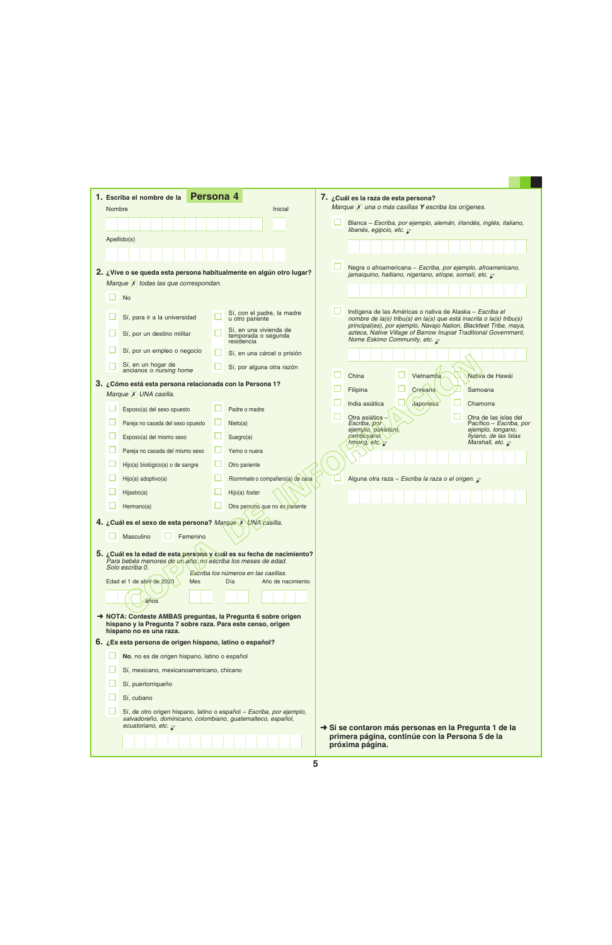|        | 1. Escriba el nombre de la                                                                                                                                                        | Persona 4                                                   |                   | 7. ¿Cuál es la raza de esta persona?<br>Marque X una o más casillas Y escriba los orígenes.                                               |                                                  |
|--------|-----------------------------------------------------------------------------------------------------------------------------------------------------------------------------------|-------------------------------------------------------------|-------------------|-------------------------------------------------------------------------------------------------------------------------------------------|--------------------------------------------------|
| Nombre |                                                                                                                                                                                   |                                                             | Inicial           |                                                                                                                                           |                                                  |
|        |                                                                                                                                                                                   |                                                             |                   | Blanca - Escriba, por ejemplo, alemán, irlandés, inglés, italiano,<br>libanés, egipcio, etc. $\overline{\mathcal{L}}$                     |                                                  |
|        | Apellido(s)                                                                                                                                                                       |                                                             |                   |                                                                                                                                           |                                                  |
|        |                                                                                                                                                                                   |                                                             |                   |                                                                                                                                           |                                                  |
|        | 2. ¿Vive o se queda esta persona habitualmente en algún otro lugar?                                                                                                               |                                                             |                   | Negra o afroamericana - Escriba, por ejemplo, afroamericano,                                                                              |                                                  |
|        | Marque X todas las que correspondan.                                                                                                                                              |                                                             |                   | jamaiquino, haitiano, nigeriano, etíope, somalí, etc. $\overline{\mathcal{L}}$                                                            |                                                  |
|        | <b>No</b>                                                                                                                                                                         |                                                             |                   |                                                                                                                                           |                                                  |
|        |                                                                                                                                                                                   | Sí, con el padre, la madre                                  |                   | Indígena de las Américas o nativa de Alaska - Escriba el                                                                                  |                                                  |
|        | Sí, para ir a la universidad                                                                                                                                                      | u otro pariente                                             |                   | nombre de la(s) tribu(s) en la(s) que está inscrita o la(s) tribu(s)<br>principal(es), por ejemplo, Navajo Nation, Blackfeet Tribe, maya, |                                                  |
|        | Sí, por un destino militar                                                                                                                                                        | Sí, en una vivienda de<br>temporada o segunda<br>residencia |                   | azteca, Native Village of Barrow Inupiat Traditional Government,<br>Nome Eskimo Community, etc. $\overline{\mathcal{L}}$                  |                                                  |
|        | Sí, por un empleo o negocio                                                                                                                                                       | Sí, en una cárcel o prisión                                 |                   |                                                                                                                                           |                                                  |
|        | Sí, en un hogar de<br>ancianos o nursing home                                                                                                                                     | Sí, por alguna otra razón                                   |                   |                                                                                                                                           |                                                  |
|        | 3. ¿Cómo está esta persona relacionada con la Persona 1?                                                                                                                          |                                                             |                   | China<br>Vietnamita                                                                                                                       | Nativa de Hawái                                  |
|        | Marque X UNA casilla.                                                                                                                                                             |                                                             |                   | Coreana<br>Filipina                                                                                                                       | Samoana                                          |
|        | Esposo(a) del sexo opuesto                                                                                                                                                        | Padre o madre                                               |                   | India asiática<br>Japonesa                                                                                                                | Chamorra                                         |
|        | Pareja no casada del sexo opuesto                                                                                                                                                 | Nieto(a)                                                    |                   | Otra asiática<br>Escriba, por                                                                                                             | Otra de las islas del<br>Pacífico – Escriba, por |
|        | Esposo(a) del mismo sexo                                                                                                                                                          | Suegro(a)                                                   |                   | ejempio, pakistani,<br>camboyano,                                                                                                         | ejemplo, tongano,<br>fiyiano, de las Islas       |
|        | Pareja no casada del mismo sexo                                                                                                                                                   | Yerno o nuera                                               |                   | $h$ mong, etc $\overline{\phantom{a}}$                                                                                                    | Marshall, etc. $\overline{\mathcal{L}}$          |
|        | Hijo(a) biológico(a) o de sangre                                                                                                                                                  | Otro pariente                                               |                   |                                                                                                                                           |                                                  |
|        | Hijo(a) adoptivo(a)                                                                                                                                                               | Roommate o compañero(a) de casa                             |                   | Alguna otra raza - Escriba la raza o el origen. $\bar{z}$                                                                                 |                                                  |
|        | Hijastro(a)                                                                                                                                                                       | Hijo(a) foster                                              |                   |                                                                                                                                           |                                                  |
|        | Hermano(a)                                                                                                                                                                        | Otra persona que no es pariente                             |                   |                                                                                                                                           |                                                  |
|        | 4. ¿Cuál es el sexo de esta persona? Marque X UNA casilla.                                                                                                                        |                                                             |                   |                                                                                                                                           |                                                  |
|        | Masculino<br>Femenino                                                                                                                                                             |                                                             |                   |                                                                                                                                           |                                                  |
|        |                                                                                                                                                                                   |                                                             |                   |                                                                                                                                           |                                                  |
|        | 5. ¿Cuál es la edad de esta persona y cuál es su fecha de nacimiento?<br>Para bebés menores de un año, no escriba los meses de edad.                                              |                                                             |                   |                                                                                                                                           |                                                  |
|        | Solo escriba 0.                                                                                                                                                                   | Escriba los números en las casillas.                        |                   |                                                                                                                                           |                                                  |
|        | Edad el 1 de abril de 2020<br><b>Mes</b>                                                                                                                                          | Día                                                         | Año de nacimiento |                                                                                                                                           |                                                  |
|        | años                                                                                                                                                                              |                                                             |                   |                                                                                                                                           |                                                  |
|        | NOTA: Conteste AMBAS preguntas, la Pregunta 6 sobre origen                                                                                                                        |                                                             |                   |                                                                                                                                           |                                                  |
|        | hispano y la Pregunta 7 sobre raza. Para este censo, origen<br>hispano no es una raza.                                                                                            |                                                             |                   |                                                                                                                                           |                                                  |
|        | 6. ¿Es esta persona de origen hispano, latino o español?                                                                                                                          |                                                             |                   |                                                                                                                                           |                                                  |
|        | No, no es de origen hispano, latino o español                                                                                                                                     |                                                             |                   |                                                                                                                                           |                                                  |
|        | Sí, mexicano, mexicanoamericano, chicano                                                                                                                                          |                                                             |                   |                                                                                                                                           |                                                  |
|        | Sí, puertorriqueño                                                                                                                                                                |                                                             |                   |                                                                                                                                           |                                                  |
|        | Sí, cubano                                                                                                                                                                        |                                                             |                   |                                                                                                                                           |                                                  |
|        | Sí, de otro origen hispano, latino o español - Escriba, por ejemplo,<br>salvadoreño, dominicano, colombiano, guatemalteco, español,<br>ecuatoriano, etc. $\overline{\mathcal{L}}$ |                                                             |                   | Si se contaron más personas en la Pregunta 1 de la                                                                                        |                                                  |
|        |                                                                                                                                                                                   |                                                             |                   | primera página, continúe con la Persona 5 de la                                                                                           |                                                  |
|        |                                                                                                                                                                                   |                                                             |                   | próxima página.                                                                                                                           |                                                  |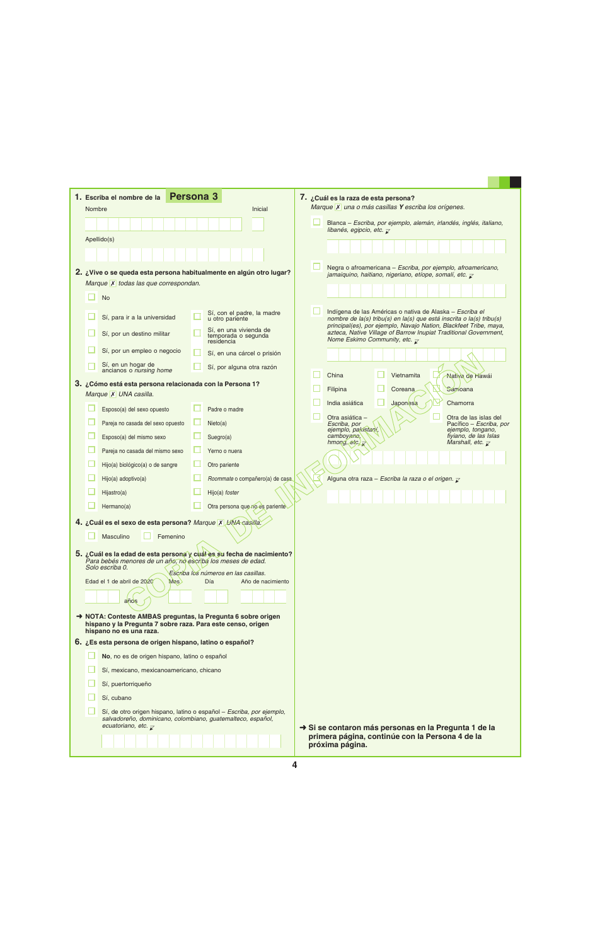|        | <b>Persona 3</b><br>1. Escriba el nombre de la                                                                                                                                    |                                                                  | 7. ¿Cuál es la raza de esta persona?                                                                                                                                                          |
|--------|-----------------------------------------------------------------------------------------------------------------------------------------------------------------------------------|------------------------------------------------------------------|-----------------------------------------------------------------------------------------------------------------------------------------------------------------------------------------------|
| Nombre |                                                                                                                                                                                   | Inicial                                                          | Marque X una o más casillas Y escriba los orígenes.                                                                                                                                           |
|        |                                                                                                                                                                                   |                                                                  | Blanca - Escriba, por ejemplo, alemán, irlandés, inglés, italiano,<br>libanés, egipcio, etc. $\overline{\mathcal{L}}$                                                                         |
|        | Apellido(s)                                                                                                                                                                       |                                                                  |                                                                                                                                                                                               |
|        |                                                                                                                                                                                   |                                                                  |                                                                                                                                                                                               |
|        | 2. ¿Vive o se queda esta persona habitualmente en algún otro lugar?                                                                                                               |                                                                  | Negra o afroamericana - Escriba, por ejemplo, afroamericano,<br>jamaiquino, haitiano, nigeriano, etíope, somalí, etc. $\bar{z}$                                                               |
|        | Marque X todas las que correspondan.                                                                                                                                              |                                                                  |                                                                                                                                                                                               |
|        | <b>No</b>                                                                                                                                                                         |                                                                  |                                                                                                                                                                                               |
|        | Sí, para ir a la universidad                                                                                                                                                      | Sí, con el padre, la madre<br>u otro pariente                    | Indígena de las Américas o nativa de Alaska - Escriba el<br>nombre de la(s) tribu(s) en la(s) que está inscrita o la(s) tribu(s)                                                              |
|        | Sí, por un destino militar                                                                                                                                                        | Sí, en una vivienda de<br>temporada o segunda<br>residencia      | principal(es), por ejemplo, Navajo Nation, Blackfeet Tribe, maya,<br>azteca, Native Village of Barrow Inupiat Traditional Government,<br>Nome Eskimo Community, etc. $\overline{\mathcal{L}}$ |
|        | Sí, por un empleo o negocio                                                                                                                                                       | Sí, en una cárcel o prisión                                      |                                                                                                                                                                                               |
|        | Sí, en un hogar de<br>ancianos o nursing home                                                                                                                                     | Sí, por alguna otra razón                                        | China                                                                                                                                                                                         |
|        | 3. ¿Cómo está esta persona relacionada con la Persona 1?                                                                                                                          |                                                                  | Vietnamita<br>Nativa de Hawái<br>Filipina<br>Coreana<br>Samoana                                                                                                                               |
|        | Marque X UNA casilla.                                                                                                                                                             |                                                                  | India asiática<br>Japonesa<br>Chamorra                                                                                                                                                        |
|        | Esposo(a) del sexo opuesto                                                                                                                                                        | Padre o madre                                                    | Otra asiática -<br>Otra de las islas del                                                                                                                                                      |
|        | Pareja no casada del sexo opuesto                                                                                                                                                 | Nieto(a)                                                         | Escriba, por<br>Pacífico – <i>Escriba, por</i><br>ejemplo, pakistaní,<br>ejemplo, tongano,                                                                                                    |
|        | Esposo(a) del mismo sexo                                                                                                                                                          | Suegro(a)                                                        | camboyano,<br>fiyiano, de las Islas<br>hmong, $etc.$<br>Marshall, etc. $\overline{\mathcal{L}}$                                                                                               |
|        | Pareja no casada del mismo sexo                                                                                                                                                   | Yerno o nuera                                                    |                                                                                                                                                                                               |
|        | Hijo(a) biológico(a) o de sangre                                                                                                                                                  | Otro pariente                                                    |                                                                                                                                                                                               |
|        | Hijo(a) adoptivo(a)                                                                                                                                                               | Roommate o compañero(a) de casa.                                 | Alguna otra raza - Escriba la raza o el origen.                                                                                                                                               |
|        | Hijastro(a)                                                                                                                                                                       | Hijo(a) foster                                                   |                                                                                                                                                                                               |
|        | Hermano(a)                                                                                                                                                                        | Otra persona que no es pariente                                  |                                                                                                                                                                                               |
|        | 4. ¿Cuál es el sexo de esta persona? Marque X UNA casilla.                                                                                                                        |                                                                  |                                                                                                                                                                                               |
|        | Masculino<br>Femenino                                                                                                                                                             |                                                                  |                                                                                                                                                                                               |
|        | 5. ¿Cuál es la edad de esta persona y cuál es su fecha de nacimiento?<br>Para bebés menores de un apo, no escriba los meses de edad.<br>Solo escriba 0.                           |                                                                  |                                                                                                                                                                                               |
|        | Edad el 1 de abril de 2020<br>Mes                                                                                                                                                 | Escriba los números en las casillas.<br>Día<br>Año de nacimiento |                                                                                                                                                                                               |
|        |                                                                                                                                                                                   |                                                                  |                                                                                                                                                                                               |
|        | años                                                                                                                                                                              |                                                                  |                                                                                                                                                                                               |
|        | A NOTA: Conteste AMBAS preguntas, la Pregunta 6 sobre origen<br>hispano y la Pregunta 7 sobre raza. Para este censo, origen<br>hispano no es una raza.                            |                                                                  |                                                                                                                                                                                               |
|        | 6. ¿Es esta persona de origen hispano, latino o español?                                                                                                                          |                                                                  |                                                                                                                                                                                               |
|        | No, no es de origen hispano, latino o español                                                                                                                                     |                                                                  |                                                                                                                                                                                               |
|        | Sí, mexicano, mexicanoamericano, chicano                                                                                                                                          |                                                                  |                                                                                                                                                                                               |
|        | Sí, puertorriqueño                                                                                                                                                                |                                                                  |                                                                                                                                                                                               |
|        | Sí, cubano                                                                                                                                                                        |                                                                  |                                                                                                                                                                                               |
|        | Sí, de otro origen hispano, latino o español - Escriba, por ejemplo,<br>salvadoreño, dominicano, colombiano, guatemalteco, español,<br>ecuatoriano, etc. $\overline{\mathcal{X}}$ |                                                                  | Si se contaron más personas en la Pregunta 1 de la                                                                                                                                            |
|        |                                                                                                                                                                                   |                                                                  | primera página, continúe con la Persona 4 de la<br>próxima página.                                                                                                                            |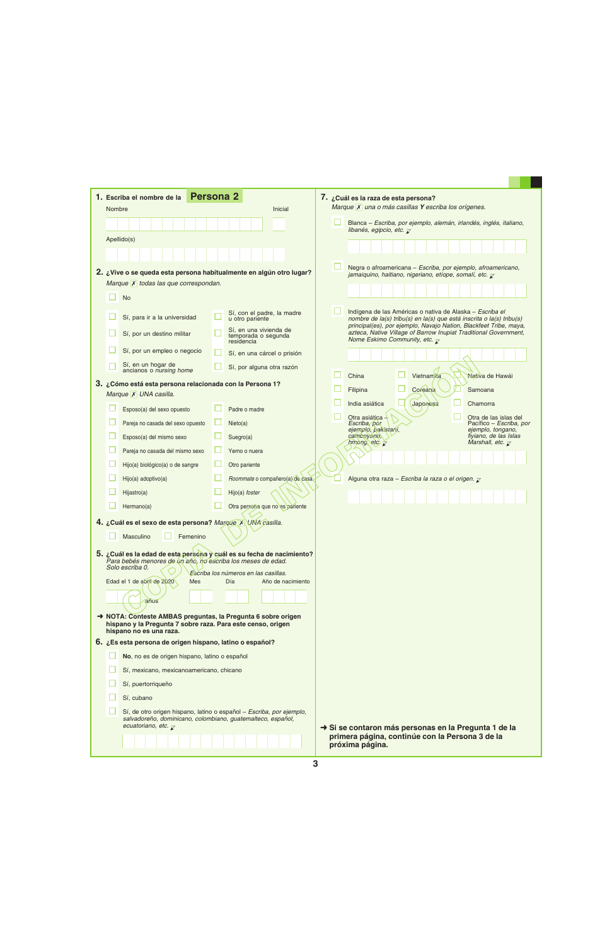|                                                                                                                                                         |                                      | <b>Persona 2</b><br>1. Escriba el nombre de la                                                                                                                                                                                          |  |                                                             |                                                                                                                                           | 7. ¿Cuál es la raza de esta persona?<br>Marque X una o más casillas Y escriba los orígenes.                                                                                                           |  |  |
|---------------------------------------------------------------------------------------------------------------------------------------------------------|--------------------------------------|-----------------------------------------------------------------------------------------------------------------------------------------------------------------------------------------------------------------------------------------|--|-------------------------------------------------------------|-------------------------------------------------------------------------------------------------------------------------------------------|-------------------------------------------------------------------------------------------------------------------------------------------------------------------------------------------------------|--|--|
|                                                                                                                                                         | Nombre<br>Inicial<br>Apellido(s)     |                                                                                                                                                                                                                                         |  |                                                             |                                                                                                                                           | Blanca - Escriba, por ejemplo, alemán, irlandés, inglés, italiano,<br>libanés, egipcio, etc. $\overline{\mathcal{L}}$                                                                                 |  |  |
|                                                                                                                                                         |                                      |                                                                                                                                                                                                                                         |  |                                                             |                                                                                                                                           |                                                                                                                                                                                                       |  |  |
|                                                                                                                                                         |                                      |                                                                                                                                                                                                                                         |  |                                                             |                                                                                                                                           |                                                                                                                                                                                                       |  |  |
|                                                                                                                                                         |                                      |                                                                                                                                                                                                                                         |  |                                                             |                                                                                                                                           |                                                                                                                                                                                                       |  |  |
|                                                                                                                                                         |                                      | 2. ¿Vive o se queda esta persona habitualmente en algún otro lugar?                                                                                                                                                                     |  |                                                             | Negra o afroamericana - Escriba, por ejemplo, afroamericano,<br>jamaiquino, haitiano, nigeriano, etíope, somalí, etc. $\bar{\mathcal{L}}$ |                                                                                                                                                                                                       |  |  |
|                                                                                                                                                         | Marque X todas las que correspondan. |                                                                                                                                                                                                                                         |  |                                                             |                                                                                                                                           |                                                                                                                                                                                                       |  |  |
|                                                                                                                                                         |                                      | <b>No</b>                                                                                                                                                                                                                               |  |                                                             |                                                                                                                                           |                                                                                                                                                                                                       |  |  |
|                                                                                                                                                         |                                      | Sí, para ir a la universidad                                                                                                                                                                                                            |  | Sí, con el padre, la madre<br>u otro pariente               |                                                                                                                                           | Indígena de las Américas o nativa de Alaska - Escriba el<br>nombre de la(s) tribu(s) en la(s) que está inscrita o la(s) tribu(s)<br>principal(es), por ejemplo, Navajo Nation, Blackfeet Tribe, maya, |  |  |
|                                                                                                                                                         |                                      | Sí, por un destino militar                                                                                                                                                                                                              |  | Sí, en una vivienda de<br>temporada o segunda<br>residencia |                                                                                                                                           | azteca, Native Village of Barrow Inupiat Traditional Government,<br>Nome Eskimo Community, etc. $\overline{\mathcal{L}}$                                                                              |  |  |
|                                                                                                                                                         |                                      | Sí, por un empleo o negocio                                                                                                                                                                                                             |  | Sí, en una cárcel o prisión                                 |                                                                                                                                           |                                                                                                                                                                                                       |  |  |
|                                                                                                                                                         |                                      | Sí, en un hogar de<br>ancianos o nursing home                                                                                                                                                                                           |  | Sí, por alguna otra razón                                   |                                                                                                                                           |                                                                                                                                                                                                       |  |  |
|                                                                                                                                                         |                                      | 3. ¿Cómo está esta persona relacionada con la Persona 1?                                                                                                                                                                                |  |                                                             |                                                                                                                                           | China<br>Vietnamita<br>Nativa de Hawái                                                                                                                                                                |  |  |
|                                                                                                                                                         |                                      | Marque X UNA casilla.                                                                                                                                                                                                                   |  |                                                             |                                                                                                                                           | Coreana<br>Filipina<br>Samoana                                                                                                                                                                        |  |  |
|                                                                                                                                                         |                                      | Esposo(a) del sexo opuesto                                                                                                                                                                                                              |  | Padre o madre                                               |                                                                                                                                           | India asiática<br>Japonesa<br>Chamorra                                                                                                                                                                |  |  |
|                                                                                                                                                         |                                      | Pareja no casada del sexo opuesto                                                                                                                                                                                                       |  | Nieto(a)                                                    |                                                                                                                                           | Otra asiática -<br>Otra de las islas del<br>Escriba, por<br>Pacífico – Escriba, por                                                                                                                   |  |  |
|                                                                                                                                                         |                                      | Esposo(a) del mismo sexo                                                                                                                                                                                                                |  | Suegro(a)                                                   |                                                                                                                                           | ejemplo, pakistaní,<br>ejemplo, tongano,<br>fiyiano, de las Islas<br>camboyano,                                                                                                                       |  |  |
|                                                                                                                                                         |                                      | Pareja no casada del mismo sexo                                                                                                                                                                                                         |  | Yerno o nuera                                               |                                                                                                                                           | Marshall, etc. $\overline{\mathcal{L}}$<br>hmong, etc $\overline{z}$                                                                                                                                  |  |  |
|                                                                                                                                                         |                                      | Hijo(a) biológico(a) o de sangre                                                                                                                                                                                                        |  | Otro pariente                                               |                                                                                                                                           |                                                                                                                                                                                                       |  |  |
|                                                                                                                                                         |                                      | Hijo(a) adoptivo(a)                                                                                                                                                                                                                     |  | Roommate o compañero(a) de casa.                            |                                                                                                                                           | Alguna otra raza - Escriba la raza o el origen. $\bar{z}$                                                                                                                                             |  |  |
|                                                                                                                                                         |                                      | Hijastro(a)                                                                                                                                                                                                                             |  | Hijo(a) foster                                              |                                                                                                                                           |                                                                                                                                                                                                       |  |  |
|                                                                                                                                                         |                                      | Hermano(a)                                                                                                                                                                                                                              |  | Otra persona que no es pariente                             |                                                                                                                                           |                                                                                                                                                                                                       |  |  |
|                                                                                                                                                         |                                      | 4. ¿Cuál es el sexo de esta persona? Marque X UNA casilla.                                                                                                                                                                              |  |                                                             |                                                                                                                                           |                                                                                                                                                                                                       |  |  |
| Masculino<br>Femenino                                                                                                                                   |                                      |                                                                                                                                                                                                                                         |  |                                                             |                                                                                                                                           |                                                                                                                                                                                                       |  |  |
|                                                                                                                                                         |                                      |                                                                                                                                                                                                                                         |  |                                                             |                                                                                                                                           |                                                                                                                                                                                                       |  |  |
| 5. ¿Cuál es la edad de esta persona y cuál es su fecha de nacimiento?<br>Para bebés menores de un año, no escriba los meses de edad.<br>Solo escriba 0. |                                      |                                                                                                                                                                                                                                         |  |                                                             |                                                                                                                                           |                                                                                                                                                                                                       |  |  |
| Escriba los números en las casillas.<br>Edad el 1 de abril de 2020<br>Día<br>Año de nacimiento<br>Mes                                                   |                                      |                                                                                                                                                                                                                                         |  |                                                             |                                                                                                                                           |                                                                                                                                                                                                       |  |  |
|                                                                                                                                                         |                                      |                                                                                                                                                                                                                                         |  |                                                             |                                                                                                                                           |                                                                                                                                                                                                       |  |  |
| años                                                                                                                                                    |                                      |                                                                                                                                                                                                                                         |  |                                                             |                                                                                                                                           |                                                                                                                                                                                                       |  |  |
| A NOTA: Conteste AMBAS preguntas, la Pregunta 6 sobre origen<br>hispano y la Pregunta 7 sobre raza. Para este censo, origen                             |                                      |                                                                                                                                                                                                                                         |  |                                                             |                                                                                                                                           |                                                                                                                                                                                                       |  |  |
|                                                                                                                                                         |                                      | hispano no es una raza.<br>6. ¿Es esta persona de origen hispano, latino o español?                                                                                                                                                     |  |                                                             |                                                                                                                                           |                                                                                                                                                                                                       |  |  |
| No, no es de origen hispano, latino o español                                                                                                           |                                      |                                                                                                                                                                                                                                         |  |                                                             |                                                                                                                                           |                                                                                                                                                                                                       |  |  |
|                                                                                                                                                         |                                      | Sí, mexicano, mexicanoamericano, chicano                                                                                                                                                                                                |  |                                                             |                                                                                                                                           |                                                                                                                                                                                                       |  |  |
|                                                                                                                                                         |                                      | Sí, puertorriqueño                                                                                                                                                                                                                      |  |                                                             |                                                                                                                                           |                                                                                                                                                                                                       |  |  |
|                                                                                                                                                         |                                      | Sí, cubano                                                                                                                                                                                                                              |  |                                                             |                                                                                                                                           |                                                                                                                                                                                                       |  |  |
|                                                                                                                                                         |                                      | Sí, de otro origen hispano, latino o español - Escriba, por ejemplo,<br>salvadoreño, dominicano, colombiano, guatemalteco, español,<br>ecuatoriano, etc. $\overline{\mathcal{X}}$<br>Si se contaron más personas en la Pregunta 1 de la |  |                                                             |                                                                                                                                           |                                                                                                                                                                                                       |  |  |
|                                                                                                                                                         |                                      |                                                                                                                                                                                                                                         |  |                                                             |                                                                                                                                           | primera página, continúe con la Persona 3 de la<br>próxima página.                                                                                                                                    |  |  |

a ka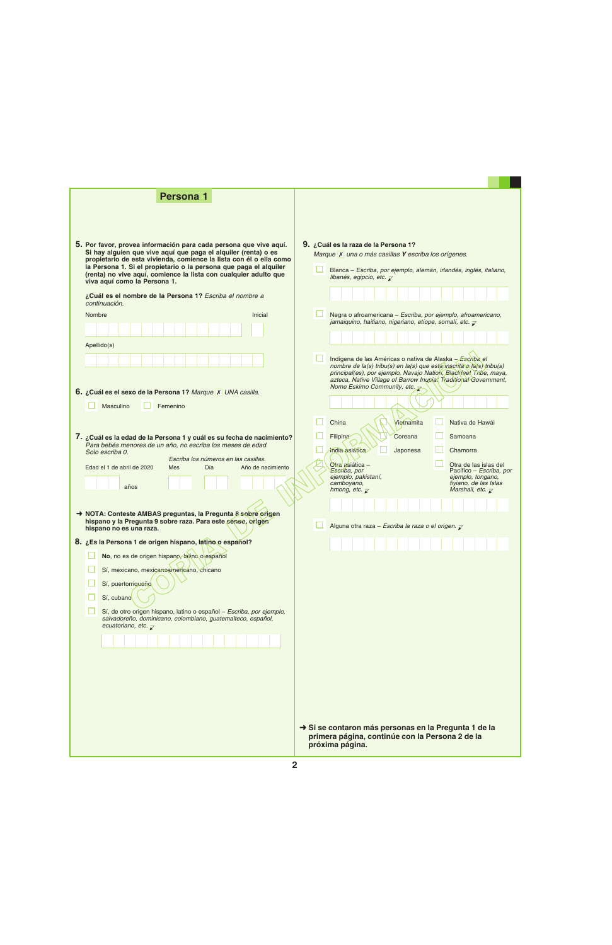| <b>Persona 1</b>                                                                                                                                                                                                                                                                                                                                                                                                                                                                                                                                                                                                                                                                                                                                                                                                                       |                                                                                                                                                                                                                                                                                                                                                                                                                                              |
|----------------------------------------------------------------------------------------------------------------------------------------------------------------------------------------------------------------------------------------------------------------------------------------------------------------------------------------------------------------------------------------------------------------------------------------------------------------------------------------------------------------------------------------------------------------------------------------------------------------------------------------------------------------------------------------------------------------------------------------------------------------------------------------------------------------------------------------|----------------------------------------------------------------------------------------------------------------------------------------------------------------------------------------------------------------------------------------------------------------------------------------------------------------------------------------------------------------------------------------------------------------------------------------------|
| 5. Por favor, provea información para cada persona que vive aquí.<br>Si hay alguien que vive aquí que paga el alquiler (renta) o es<br>propietario de esta vivienda, comience la lista con él o ella como<br>la Persona 1. Si el propietario o la persona que paga el alquiler<br>(renta) no vive aquí, comience la lista con cualquier adulto que<br>viva aquí como la Persona 1.<br>¿Cuál es el nombre de la Persona 1? Escriba el nombre a<br>continuación.<br>Inicial<br>Nombre                                                                                                                                                                                                                                                                                                                                                    | 9. ¿Cuál es la raza de la Persona 1?<br>Marque X una o más casillas Y escriba los orígenes.<br>Blanca - Escriba, por ejemplo, alemán, irlandés, inglés, italiano,<br>libanés, egipcio, etc. $\overline{\mathcal{L}}$<br>Negra o afroamericana - Escriba, por ejemplo, afroamericano,<br>jamaiquino, haitiano, nigeriano, etíope, somalí, etc. $\bar{\mathcal{L}}$                                                                            |
|                                                                                                                                                                                                                                                                                                                                                                                                                                                                                                                                                                                                                                                                                                                                                                                                                                        |                                                                                                                                                                                                                                                                                                                                                                                                                                              |
| Apellido(s)                                                                                                                                                                                                                                                                                                                                                                                                                                                                                                                                                                                                                                                                                                                                                                                                                            | Indígena de las Américas o nativa de Alaska - Escriba el<br>nombre de la(s) tribu(s) en la(s) que está inscrita e la(s) tribu(s)<br>principal(es), por ejemplo, Navajo Nation, Blackfeet Tribe, maya,<br>azteca, Native Village of Barrow Inupiat Traditional Government,<br>Nome Eskimo Community, etc. $\rightarrow$                                                                                                                       |
| 6. ¿Cuál es el sexo de la Persona 1? Marque X UNA casilla.                                                                                                                                                                                                                                                                                                                                                                                                                                                                                                                                                                                                                                                                                                                                                                             |                                                                                                                                                                                                                                                                                                                                                                                                                                              |
| Masculino<br>Femenino<br>7. ¿Cuál es la edad de la Persona 1 y cuál es su fecha de nacimiento?<br>Para bebés menores de un año, no escriba los meses de edad.<br>Solo escriba 0.<br>Escriba los números en las casillas.<br>Edad el 1 de abril de 2020<br>Mes<br>Día<br>Año de nacimiento<br>años<br>→ NOTA: Conteste AMBAS preguntas, la Pregunta 8 sobre origen<br>hispano y la Pregunta 9 sobre raza. Para este censo, origen<br>hispano no es una raza.<br>8. ¿Es la Persona 1 de origen hispano, latino o español?<br>No, no es de origen hispano, latino o español<br>Sí, mexicano, mexicanoamericano, chicano<br>Sí, puertorriqueño<br>Sí, cubano<br>Sí, de otro origen hispano, latino o español - Escriba, por ejemplo,<br>salvadoreño, dominicano, colombiano, guatemalteco, español,<br>ecuatoriano, etc. $\overline{\chi}$ | Vietnamita<br>China<br>Nativa de Hawái<br>Filipina<br>Coreana<br>Samoana<br>india asiática<br>Japonesa<br>Chamorra<br>Otra asiática -<br>Otra de las islas del<br>Escriba, por<br>Pacífico – Escriba, por<br>ejemplo, pakistaní,<br>ejemplo, tongano,<br>fiyiano, de las Islas<br>camboyano,<br>Marshall, etc. $\overline{\mathcal{K}}$<br>hmong, etc. $\overline{\mathbf{z}}$<br>Alguna otra raza - Escriba la raza o el origen. $\sqrt{2}$ |
|                                                                                                                                                                                                                                                                                                                                                                                                                                                                                                                                                                                                                                                                                                                                                                                                                                        | Si se contaron más personas en la Pregunta 1 de la<br>primera página, continúe con la Persona 2 de la<br>próxima página.                                                                                                                                                                                                                                                                                                                     |